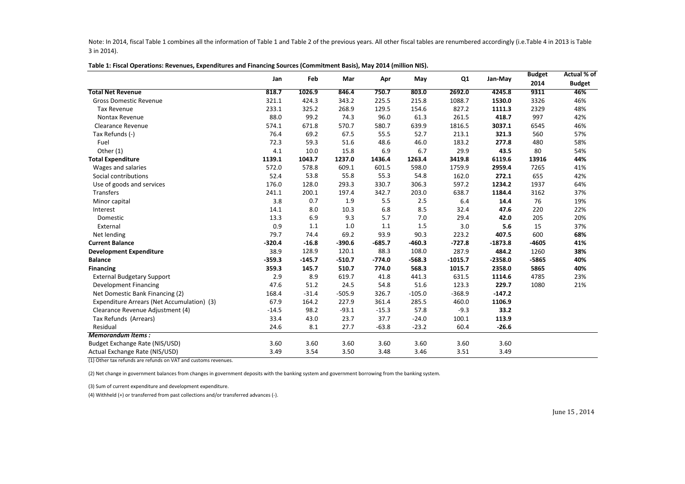Note: In 2014, fiscal Table 1 combines all the information of Table 1 and Table 2 of the previous years. All other fiscal tables are renumbered accordingly (i.e.Table 4 in 2013 is Table 3 in 2014).

|                                            | Jan      | Feb      |          | Mar<br>May<br>Apr |          |           | Q1        | Jan-May | <b>Budget</b> | Actual % of |
|--------------------------------------------|----------|----------|----------|-------------------|----------|-----------|-----------|---------|---------------|-------------|
|                                            |          |          |          |                   |          |           |           | 2014    | <b>Budget</b> |             |
| <b>Total Net Revenue</b>                   | 818.7    | 1026.9   | 846.4    | 750.7             | 803.0    | 2692.0    | 4245.8    | 9311    | 46%           |             |
| <b>Gross Domestic Revenue</b>              | 321.1    | 424.3    | 343.2    | 225.5             | 215.8    | 1088.7    | 1530.0    | 3326    | 46%           |             |
| <b>Tax Revenue</b>                         | 233.1    | 325.2    | 268.9    | 129.5             | 154.6    | 827.2     | 1111.3    | 2329    | 48%           |             |
| Nontax Revenue                             | 88.0     | 99.2     | 74.3     | 96.0              | 61.3     | 261.5     | 418.7     | 997     | 42%           |             |
| <b>Clearance Revenue</b>                   | 574.1    | 671.8    | 570.7    | 580.7             | 639.9    | 1816.5    | 3037.1    | 6545    | 46%           |             |
| Tax Refunds (-)                            | 76.4     | 69.2     | 67.5     | 55.5              | 52.7     | 213.1     | 321.3     | 560     | 57%           |             |
| Fuel                                       | 72.3     | 59.3     | 51.6     | 48.6              | 46.0     | 183.2     | 277.8     | 480     | 58%           |             |
| Other (1)                                  | 4.1      | 10.0     | 15.8     | 6.9               | 6.7      | 29.9      | 43.5      | 80      | 54%           |             |
| <b>Total Expenditure</b>                   | 1139.1   | 1043.7   | 1237.0   | 1436.4            | 1263.4   | 3419.8    | 6119.6    | 13916   | 44%           |             |
| Wages and salaries                         | 572.0    | 578.8    | 609.1    | 601.5             | 598.0    | 1759.9    | 2959.4    | 7265    | 41%           |             |
| Social contributions                       | 52.4     | 53.8     | 55.8     | 55.3              | 54.8     | 162.0     | 272.1     | 655     | 42%           |             |
| Use of goods and services                  | 176.0    | 128.0    | 293.3    | 330.7             | 306.3    | 597.2     | 1234.2    | 1937    | 64%           |             |
| Transfers                                  | 241.1    | 200.1    | 197.4    | 342.7             | 203.0    | 638.7     | 1184.4    | 3162    | 37%           |             |
| Minor capital                              | 3.8      | 0.7      | 1.9      | 5.5               | 2.5      | 6.4       | 14.4      | 76      | 19%           |             |
| Interest                                   | 14.1     | 8.0      | 10.3     | 6.8               | 8.5      | 32.4      | 47.6      | 220     | 22%           |             |
| Domestic                                   | 13.3     | 6.9      | 9.3      | 5.7               | 7.0      | 29.4      | 42.0      | 205     | 20%           |             |
| External                                   | 0.9      | 1.1      | 1.0      | 1.1               | 1.5      | 3.0       | 5.6       | 15      | 37%           |             |
| Net lending                                | 79.7     | 74.4     | 69.2     | 93.9              | 90.3     | 223.2     | 407.5     | 600     | 68%           |             |
| <b>Current Balance</b>                     | $-320.4$ | $-16.8$  | $-390.6$ | $-685.7$          | $-460.3$ | $-727.8$  | $-1873.8$ | $-4605$ | 41%           |             |
| <b>Development Expenditure</b>             | 38.9     | 128.9    | 120.1    | 88.3              | 108.0    | 287.9     | 484.2     | 1260    | 38%           |             |
| <b>Balance</b>                             | $-359.3$ | $-145.7$ | $-510.7$ | $-774.0$          | $-568.3$ | $-1015.7$ | $-2358.0$ | $-5865$ | 40%           |             |
| <b>Financing</b>                           | 359.3    | 145.7    | 510.7    | 774.0             | 568.3    | 1015.7    | 2358.0    | 5865    | 40%           |             |
| <b>External Budgetary Support</b>          | 2.9      | 8.9      | 619.7    | 41.8              | 441.3    | 631.5     | 1114.6    | 4785    | 23%           |             |
| <b>Development Financing</b>               | 47.6     | 51.2     | 24.5     | 54.8              | 51.6     | 123.3     | 229.7     | 1080    | 21%           |             |
| Net Domestic Bank Financing (2)            | 168.4    | $-31.4$  | $-505.9$ | 326.7             | $-105.0$ | $-368.9$  | $-147.2$  |         |               |             |
| Expenditure Arrears (Net Accumulation) (3) | 67.9     | 164.2    | 227.9    | 361.4             | 285.5    | 460.0     | 1106.9    |         |               |             |
| Clearance Revenue Adjustment (4)           | $-14.5$  | 98.2     | $-93.1$  | $-15.3$           | 57.8     | $-9.3$    | 33.2      |         |               |             |
| Tax Refunds (Arrears)                      | 33.4     | 43.0     | 23.7     | 37.7              | $-24.0$  | 100.1     | 113.9     |         |               |             |
| Residual                                   | 24.6     | 8.1      | 27.7     | $-63.8$           | $-23.2$  | 60.4      | $-26.6$   |         |               |             |
| <b>Memorandum Items:</b>                   |          |          |          |                   |          |           |           |         |               |             |
| Budget Exchange Rate (NIS/USD)             | 3.60     | 3.60     | 3.60     | 3.60              | 3.60     | 3.60      | 3.60      |         |               |             |
| Actual Exchange Rate (NIS/USD)             | 3.49     | 3.54     | 3.50     | 3.48              | 3.46     | 3.51      | 3.49      |         |               |             |

**Table 1: Fiscal Operations: Revenues, Expenditures and Financing Sources (Commitment Basis), May 2014 (million NIS).**

(1) Other tax refunds are refunds on VAT and customs revenues.

(2) Net change in government balances from changes in government deposits with the banking system and government borrowing from the banking system.

(3) Sum of current expenditure and development expenditure.

(4) Withheld (+) or transferred from past collections and/or transferred advances (-).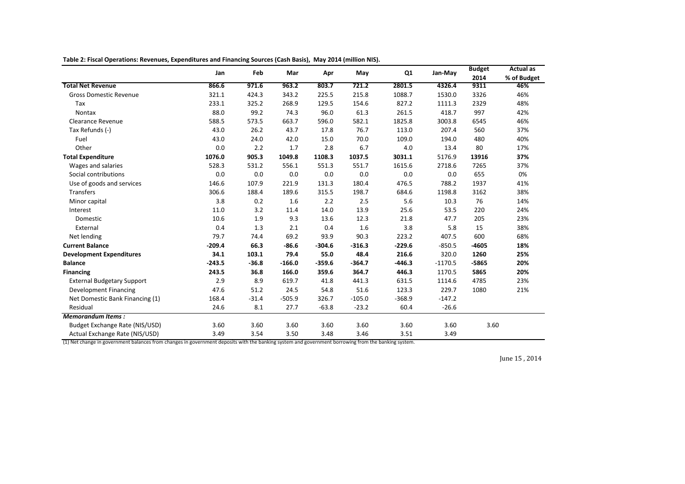|                                   | Feb<br>Jan<br>Mar<br>May<br>Apr | Q1      | Jan-May  | <b>Budget</b> | <b>Actual</b> as |          |           |         |             |
|-----------------------------------|---------------------------------|---------|----------|---------------|------------------|----------|-----------|---------|-------------|
|                                   |                                 |         |          |               |                  |          |           | 2014    | % of Budget |
| <b>Total Net Revenue</b>          | 866.6                           | 971.6   | 963.2    | 803.7         | 721.2            | 2801.5   | 4326.4    | 9311    | 46%         |
| <b>Gross Domestic Revenue</b>     | 321.1                           | 424.3   | 343.2    | 225.5         | 215.8            | 1088.7   | 1530.0    | 3326    | 46%         |
| Tax                               | 233.1                           | 325.2   | 268.9    | 129.5         | 154.6            | 827.2    | 1111.3    | 2329    | 48%         |
| Nontax                            | 88.0                            | 99.2    | 74.3     | 96.0          | 61.3             | 261.5    | 418.7     | 997     | 42%         |
| Clearance Revenue                 | 588.5                           | 573.5   | 663.7    | 596.0         | 582.1            | 1825.8   | 3003.8    | 6545    | 46%         |
| Tax Refunds (-)                   | 43.0                            | 26.2    | 43.7     | 17.8          | 76.7             | 113.0    | 207.4     | 560     | 37%         |
| Fuel                              | 43.0                            | 24.0    | 42.0     | 15.0          | 70.0             | 109.0    | 194.0     | 480     | 40%         |
| Other                             | 0.0                             | 2.2     | 1.7      | 2.8           | 6.7              | 4.0      | 13.4      | 80      | 17%         |
| <b>Total Expenditure</b>          | 1076.0                          | 905.3   | 1049.8   | 1108.3        | 1037.5           | 3031.1   | 5176.9    | 13916   | 37%         |
| Wages and salaries                | 528.3                           | 531.2   | 556.1    | 551.3         | 551.7            | 1615.6   | 2718.6    | 7265    | 37%         |
| Social contributions              | 0.0                             | 0.0     | 0.0      | 0.0           | 0.0              | 0.0      | 0.0       | 655     | 0%          |
| Use of goods and services         | 146.6                           | 107.9   | 221.9    | 131.3         | 180.4            | 476.5    | 788.2     | 1937    | 41%         |
| Transfers                         | 306.6                           | 188.4   | 189.6    | 315.5         | 198.7            | 684.6    | 1198.8    | 3162    | 38%         |
| Minor capital                     | 3.8                             | 0.2     | 1.6      | 2.2           | 2.5              | 5.6      | 10.3      | 76      | 14%         |
| Interest                          | 11.0                            | 3.2     | 11.4     | 14.0          | 13.9             | 25.6     | 53.5      | 220     | 24%         |
| Domestic                          | 10.6                            | 1.9     | 9.3      | 13.6          | 12.3             | 21.8     | 47.7      | 205     | 23%         |
| External                          | 0.4                             | 1.3     | 2.1      | 0.4           | $1.6\,$          | 3.8      | 5.8       | 15      | 38%         |
| Net lending                       | 79.7                            | 74.4    | 69.2     | 93.9          | 90.3             | 223.2    | 407.5     | 600     | 68%         |
| <b>Current Balance</b>            | $-209.4$                        | 66.3    | $-86.6$  | $-304.6$      | $-316.3$         | $-229.6$ | $-850.5$  | $-4605$ | 18%         |
| <b>Development Expenditures</b>   | 34.1                            | 103.1   | 79.4     | 55.0          | 48.4             | 216.6    | 320.0     | 1260    | 25%         |
| <b>Balance</b>                    | $-243.5$                        | $-36.8$ | $-166.0$ | $-359.6$      | $-364.7$         | $-446.3$ | $-1170.5$ | $-5865$ | 20%         |
| <b>Financing</b>                  | 243.5                           | 36.8    | 166.0    | 359.6         | 364.7            | 446.3    | 1170.5    | 5865    | 20%         |
| <b>External Budgetary Support</b> | 2.9                             | 8.9     | 619.7    | 41.8          | 441.3            | 631.5    | 1114.6    | 4785    | 23%         |
| <b>Development Financing</b>      | 47.6                            | 51.2    | 24.5     | 54.8          | 51.6             | 123.3    | 229.7     | 1080    | 21%         |
| Net Domestic Bank Financing (1)   | 168.4                           | $-31.4$ | $-505.9$ | 326.7         | $-105.0$         | $-368.9$ | $-147.2$  |         |             |
| Residual                          | 24.6                            | 8.1     | 27.7     | $-63.8$       | $-23.2$          | 60.4     | $-26.6$   |         |             |
| <b>Memorandum Items:</b>          |                                 |         |          |               |                  |          |           |         |             |
| Budget Exchange Rate (NIS/USD)    | 3.60                            | 3.60    | 3.60     | 3.60          | 3.60             | 3.60     | 3.60      | 3.60    |             |
| Actual Exchange Rate (NIS/USD)    | 3.49                            | 3.54    | 3.50     | 3.48          | 3.46             | 3.51     | 3.49      |         |             |

**Table 2: Fiscal Operations: Revenues, Expenditures and Financing Sources (Cash Basis), May 2014 (million NIS).**

(1) Net change in government balances from changes in government deposits with the banking system and government borrowing from the banking system.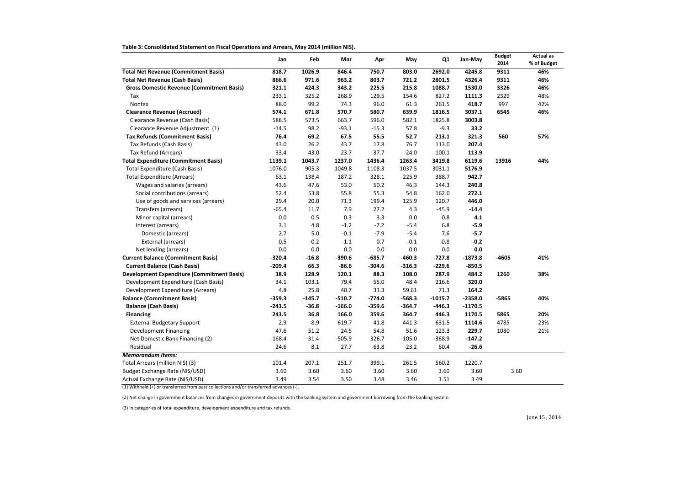**Table 3: Consolidated Statement on Fiscal Operations and Arrears, May 2014 (million NIS).**

| <b>Actual as</b> |  |
|------------------|--|
| % of Budget      |  |
| 46%              |  |
| 46%              |  |
| 46%              |  |
| 48%              |  |
| 42%              |  |
| 46%              |  |
|                  |  |
| 57%              |  |
| 44%              |  |
|                  |  |
|                  |  |
|                  |  |
|                  |  |
|                  |  |
|                  |  |
|                  |  |
|                  |  |
|                  |  |
| 41%              |  |
| 38%              |  |
|                  |  |
|                  |  |

|                                                   | Jan      | Feb      | Mar      | Apr      | May      | Q1        | Jan-May   | <b>Budget</b><br>2014 | <b>Actual</b><br>% of Bud |
|---------------------------------------------------|----------|----------|----------|----------|----------|-----------|-----------|-----------------------|---------------------------|
| <b>Total Net Revenue (Commitment Basis)</b>       | 818.7    | 1026.9   | 846.4    | 750.7    | 803.0    | 2692.0    | 4245.8    | 9311                  | 46%                       |
| <b>Total Net Revenue (Cash Basis)</b>             | 866.6    | 971.6    | 963.2    | 803.7    | 721.2    | 2801.5    | 4326.4    | 9311                  | 46%                       |
| <b>Gross Domestic Revenue (Commitment Basis)</b>  | 321.1    | 424.3    | 343.2    | 225.5    | 215.8    | 1088.7    | 1530.0    | 3326                  | 46%                       |
| Tax                                               | 233.1    | 325.2    | 268.9    | 129.5    | 154.6    | 827.2     | 1111.3    | 2329                  | 48%                       |
| Nontax                                            | 88.0     | 99.2     | 74.3     | 96.0     | 61.3     | 261.5     | 418.7     | 997                   | 42%                       |
| <b>Clearance Revenue (Accrued)</b>                | 574.1    | 671.8    | 570.7    | 580.7    | 639.9    | 1816.5    | 3037.1    | 6545                  | 46%                       |
| Clearance Revenue (Cash Basis)                    | 588.5    | 573.5    | 663.7    | 596.0    | 582.1    | 1825.8    | 3003.8    |                       |                           |
| Clearance Revenue Adjustment (1)                  | $-14.5$  | 98.2     | $-93.1$  | $-15.3$  | 57.8     | $-9.3$    | 33.2      |                       |                           |
| <b>Tax Refunds (Commitment Basis)</b>             | 76.4     | 69.2     | 67.5     | 55.5     | 52.7     | 213.1     | 321.3     | 560                   | 57%                       |
| Tax Refunds (Cash Basis)                          | 43.0     | 26.2     | 43.7     | 17.8     | 76.7     | 113.0     | 207.4     |                       |                           |
| Tax Refund (Arrears)                              | 33.4     | 43.0     | 23.7     | 37.7     | $-24.0$  | 100.1     | 113.9     |                       |                           |
| <b>Total Expenditure (Commitment Basis)</b>       | 1139.1   | 1043.7   | 1237.0   | 1436.4   | 1263.4   | 3419.8    | 6119.6    | 13916                 | 44%                       |
| <b>Total Expenditure (Cash Basis)</b>             | 1076.0   | 905.3    | 1049.8   | 1108.3   | 1037.5   | 3031.1    | 5176.9    |                       |                           |
| <b>Total Expenditure (Arrears)</b>                | 63.1     | 138.4    | 187.2    | 328.1    | 225.9    | 388.7     | 942.7     |                       |                           |
| Wages and salaries (arrears)                      | 43.6     | 47.6     | 53.0     | 50.2     | 46.3     | 144.3     | 240.8     |                       |                           |
| Social contributions (arrears)                    | 52.4     | 53.8     | 55.8     | 55.3     | 54.8     | 162.0     | 272.1     |                       |                           |
| Use of goods and services (arrears)               | 29.4     | 20.0     | 71.3     | 199.4    | 125.9    | 120.7     | 446.0     |                       |                           |
| Transfers (arrears)                               | $-65.4$  | 11.7     | 7.9      | 27.2     | 4.3      | $-45.9$   | $-14.4$   |                       |                           |
| Minor capital (arrears)                           | 0.0      | 0.5      | 0.3      | 3.3      | 0.0      | 0.8       | 4.1       |                       |                           |
| Interest (arrears)                                | 3.1      | 4.8      | $-1.2$   | $-7.2$   | $-5.4$   | 6.8       | $-5.9$    |                       |                           |
| Domestic (arrears)                                | 2.7      | 5.0      | $-0.1$   | $-7.9$   | $-5.4$   | 7.6       | $-5.7$    |                       |                           |
| External (arrears)                                | 0.5      | $-0.2$   | $-1.1$   | 0.7      | $-0.1$   | $-0.8$    | $-0.2$    |                       |                           |
| Net lending (arrears)                             | 0.0      | 0.0      | 0.0      | 0.0      | 0.0      | 0.0       | 0.0       |                       |                           |
| <b>Current Balance (Commitment Basis)</b>         | $-320.4$ | $-16.8$  | $-390.6$ | $-685.7$ | $-460.3$ | $-727.8$  | $-1873.8$ | $-4605$               | 41%                       |
| <b>Current Balance (Cash Basis)</b>               | $-209.4$ | 66.3     | $-86.6$  | $-304.6$ | $-316.3$ | $-229.6$  | $-850.5$  |                       |                           |
| <b>Development Expenditure (Commitment Basis)</b> | 38.9     | 128.9    | 120.1    | 88.3     | 108.0    | 287.9     | 484.2     | 1260                  | 38%                       |
| Development Expenditure (Cash Basis)              | 34.1     | 103.1    | 79.4     | 55.0     | 48.4     | 216.6     | 320.0     |                       |                           |
| Development Expenditure (Arrears)                 | 4.8      | 25.8     | 40.7     | 33.3     | 59.61    | 71.3      | 164.2     |                       |                           |
| <b>Balance (Commitment Basis)</b>                 | $-359.3$ | $-145.7$ | $-510.7$ | $-774.0$ | $-568.3$ | $-1015.7$ | $-2358.0$ | $-5865$               | 40%                       |
| <b>Balance (Cash Basis)</b>                       | -243.5   | $-36.8$  | $-166.0$ | $-359.6$ | $-364.7$ | $-446.3$  | $-1170.5$ |                       |                           |
| <b>Financing</b>                                  | 243.5    | 36.8     | 166.0    | 359.6    | 364.7    | 446.3     | 1170.5    | 5865                  | 20%                       |
| <b>External Budgetary Support</b>                 | 2.9      | 8.9      | 619.7    | 41.8     | 441.3    | 631.5     | 1114.6    | 4785                  | 23%                       |
| <b>Development Financing</b>                      | 47.6     | 51.2     | 24.5     | 54.8     | 51.6     | 123.3     | 229.7     | 1080                  | 21%                       |
| Net Domestic Bank Financing (2)                   | 168.4    | $-31.4$  | $-505.9$ | 326.7    | $-105.0$ | $-368.9$  | $-147.2$  |                       |                           |
| Residual                                          | 24.6     | 8.1      | 27.7     | $-63.8$  | $-23.2$  | 60.4      | $-26.6$   |                       |                           |
| <b>Memorandum Items:</b>                          |          |          |          |          |          |           |           |                       |                           |
| Total Arrears (million NIS) (3)                   | 101.4    | 207.1    | 251.7    | 399.1    | 261.5    | 560.2     | 1220.7    |                       |                           |
| Budget Exchange Rate (NIS/USD)                    | 3.60     | 3.60     | 3.60     | 3.60     | 3.60     | 3.60      | 3.60      | 3.60                  |                           |
| Actual Exchange Rate (NIS/USD)                    | 3.49     | 3.54     | 3.50     | 3.48     | 3.46     | 3.51      | 3.49      |                       |                           |

June 15 , 2014

(1) Withheld (+) or transferred from past collections and/or transferred advances (-).

(2) Net change in government balances from changes in government deposits with the banking system and government borrowing from the banking system.

(3) In categories of total expenditure, development expenditure and tax refunds.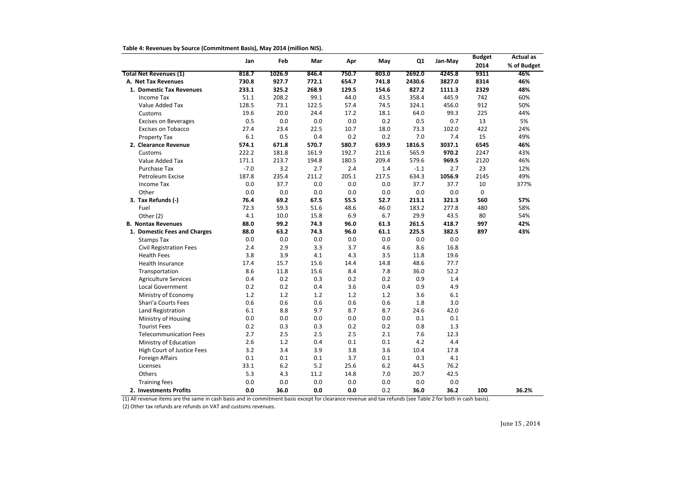| Table 4: Revenues by Source (Commitment Basis), May 2014 (million NIS). |  |
|-------------------------------------------------------------------------|--|
|                                                                         |  |

|                                   |        |         |         |         |       |         |         | <b>Budget</b> | <b>Actual as</b> |
|-----------------------------------|--------|---------|---------|---------|-------|---------|---------|---------------|------------------|
|                                   | Jan    | Feb     | Mar     | Apr     | May   | Q1      | Jan-May | 2014          | % of Budget      |
| <b>Total Net Revenues (1)</b>     | 818.7  | 1026.9  | 846.4   | 750.7   | 803.0 | 2692.0  | 4245.8  | 9311          | 46%              |
| A. Net Tax Revenues               | 730.8  | 927.7   | 772.1   | 654.7   | 741.8 | 2430.6  | 3827.0  | 8314          | 46%              |
| 1. Domestic Tax Revenues          | 233.1  | 325.2   | 268.9   | 129.5   | 154.6 | 827.2   | 1111.3  | 2329          | 48%              |
| Income Tax                        | 51.1   | 208.2   | 99.1    | 44.0    | 43.5  | 358.4   | 445.9   | 742           | 60%              |
| Value Added Tax                   | 128.5  | 73.1    | 122.5   | 57.4    | 74.5  | 324.1   | 456.0   | 912           | 50%              |
| Customs                           | 19.6   | 20.0    | 24.4    | 17.2    | 18.1  | 64.0    | 99.3    | 225           | 44%              |
| <b>Excises on Beverages</b>       | 0.5    | 0.0     | 0.0     | 0.0     | 0.2   | 0.5     | 0.7     | 13            | 5%               |
| <b>Excises on Tobacco</b>         | 27.4   | 23.4    | 22.5    | 10.7    | 18.0  | 73.3    | 102.0   | 422           | 24%              |
| Property Tax                      | 6.1    | 0.5     | 0.4     | 0.2     | 0.2   | 7.0     | 7.4     | 15            | 49%              |
| 2. Clearance Revenue              | 574.1  | 671.8   | 570.7   | 580.7   | 639.9 | 1816.5  | 3037.1  | 6545          | 46%              |
| Customs                           | 222.2  | 181.8   | 161.9   | 192.7   | 211.6 | 565.9   | 970.2   | 2247          | 43%              |
| Value Added Tax                   | 171.1  | 213.7   | 194.8   | 180.5   | 209.4 | 579.6   | 969.5   | 2120          | 46%              |
| Purchase Tax                      | $-7.0$ | 3.2     | 2.7     | 2.4     | 1.4   | $-1.1$  | 2.7     | 23            | 12%              |
| Petroleum Excise                  | 187.8  | 235.4   | 211.2   | 205.1   | 217.5 | 634.3   | 1056.9  | 2145          | 49%              |
| Income Tax                        | 0.0    | 37.7    | 0.0     | 0.0     | 0.0   | 37.7    | 37.7    | $10\,$        | 377%             |
| Other                             | 0.0    | 0.0     | 0.0     | 0.0     | 0.0   | 0.0     | 0.0     | 0             |                  |
| 3. Tax Refunds (-)                | 76.4   | 69.2    | 67.5    | 55.5    | 52.7  | 213.1   | 321.3   | 560           | 57%              |
| Fuel                              | 72.3   | 59.3    | 51.6    | 48.6    | 46.0  | 183.2   | 277.8   | 480           | 58%              |
| Other (2)                         | 4.1    | 10.0    | 15.8    | 6.9     | 6.7   | 29.9    | 43.5    | 80            | 54%              |
| <b>B. Nontax Revenues</b>         | 88.0   | 99.2    | 74.3    | 96.0    | 61.3  | 261.5   | 418.7   | 997           | 42%              |
| 1. Domestic Fees and Charges      | 88.0   | 63.2    | 74.3    | 96.0    | 61.1  | 225.5   | 382.5   | 897           | 43%              |
| <b>Stamps Tax</b>                 | 0.0    | 0.0     | 0.0     | 0.0     | 0.0   | 0.0     | 0.0     |               |                  |
| <b>Civil Registration Fees</b>    | 2.4    | 2.9     | 3.3     | 3.7     | 4.6   | 8.6     | 16.8    |               |                  |
| <b>Health Fees</b>                | 3.8    | 3.9     | 4.1     | 4.3     | 3.5   | 11.8    | 19.6    |               |                  |
| Health Insurance                  | 17.4   | 15.7    | 15.6    | 14.4    | 14.8  | 48.6    | 77.7    |               |                  |
| Transportation                    | 8.6    | 11.8    | 15.6    | 8.4     | 7.8   | 36.0    | 52.2    |               |                  |
| <b>Agriculture Services</b>       | 0.4    | 0.2     | 0.3     | 0.2     | 0.2   | 0.9     | 1.4     |               |                  |
| Local Government                  | 0.2    | 0.2     | 0.4     | 3.6     | 0.4   | 0.9     | 4.9     |               |                  |
| Ministry of Economy               | 1.2    | 1.2     | 1.2     | 1.2     | 1.2   | 3.6     | 6.1     |               |                  |
| Shari'a Courts Fees               | 0.6    | 0.6     | 0.6     | 0.6     | 0.6   | 1.8     | 3.0     |               |                  |
| Land Registration                 | 6.1    | 8.8     | 9.7     | 8.7     | 8.7   | 24.6    | 42.0    |               |                  |
| Ministry of Housing               | 0.0    | 0.0     | $0.0\,$ | 0.0     | 0.0   | 0.1     | 0.1     |               |                  |
| <b>Tourist Fees</b>               | 0.2    | 0.3     | 0.3     | 0.2     | 0.2   | 0.8     | 1.3     |               |                  |
| <b>Telecommunication Fees</b>     | 2.7    | 2.5     | 2.5     | 2.5     | 2.1   | 7.6     | 12.3    |               |                  |
| Ministry of Education             | 2.6    | 1.2     | 0.4     | 0.1     | 0.1   | 4.2     | 4.4     |               |                  |
| <b>High Court of Justice Fees</b> | 3.2    | 3.4     | 3.9     | 3.8     | 3.6   | 10.4    | 17.8    |               |                  |
| Foreign Affairs                   | 0.1    | 0.1     | $0.1\,$ | 3.7     | 0.1   | 0.3     | 4.1     |               |                  |
| Licenses                          | 33.1   | $6.2$   | 5.2     | 25.6    | $6.2$ | 44.5    | 76.2    |               |                  |
| Others                            | 5.3    | 4.3     | 11.2    | 14.8    | 7.0   | 20.7    | 42.5    |               |                  |
| <b>Training fees</b>              | 0.0    | $0.0\,$ | $0.0\,$ | $0.0\,$ | 0.0   | $0.0\,$ | 0.0     |               |                  |
| 2. Investments Profits            | 0.0    | 36.0    | 0.0     | 0.0     | 0.2   | 36.0    | 36.2    | 100           | 36.2%            |

(1) All revenue items are the same in cash basis and in commitment basis except for clearance revenue and tax refunds (see Table 2 for both in cash basis).

(2) Other tax refunds are refunds on VAT and customs revenues.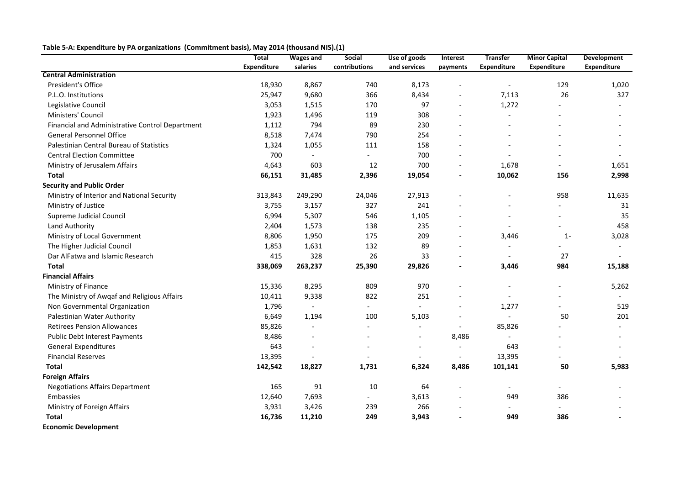# **Table 5-A: Expenditure by PA organizations (Commitment basis), May 2014 (thousand NIS).(1)**

|                                                 | <b>Total</b> | <b>Wages and</b>         | Social                   | Use of goods             | Interest                 | <b>Transfer</b>          | <b>Minor Capital</b>     | <b>Development</b>       |
|-------------------------------------------------|--------------|--------------------------|--------------------------|--------------------------|--------------------------|--------------------------|--------------------------|--------------------------|
|                                                 | Expenditure  | salaries                 | contributions            | and services             | payments                 | <b>Expenditure</b>       | <b>Expenditure</b>       | Expenditure              |
| <b>Central Administration</b>                   |              |                          |                          |                          |                          |                          |                          |                          |
| President's Office                              | 18,930       | 8,867                    | 740                      | 8,173                    |                          |                          | 129                      | 1,020                    |
| P.L.O. Institutions                             | 25,947       | 9,680                    | 366                      | 8,434                    |                          | 7,113                    | 26                       | 327                      |
| Legislative Council                             | 3,053        | 1,515                    | 170                      | 97                       |                          | 1,272                    |                          |                          |
| Ministers' Council                              | 1,923        | 1,496                    | 119                      | 308                      |                          | $\overline{\phantom{a}}$ |                          |                          |
| Financial and Administrative Control Department | 1,112        | 794                      | 89                       | 230                      |                          |                          |                          |                          |
| <b>General Personnel Office</b>                 | 8,518        | 7,474                    | 790                      | 254                      |                          |                          |                          |                          |
| Palestinian Central Bureau of Statistics        | 1,324        | 1,055                    | 111                      | 158                      |                          |                          |                          |                          |
| <b>Central Election Committee</b>               | 700          | $\overline{\phantom{a}}$ |                          | 700                      |                          |                          |                          | $\overline{\phantom{a}}$ |
| Ministry of Jerusalem Affairs                   | 4,643        | 603                      | 12                       | 700                      |                          | 1,678                    |                          | 1,651                    |
| <b>Total</b>                                    | 66,151       | 31,485                   | 2,396                    | 19,054                   | $\overline{\phantom{a}}$ | 10,062                   | 156                      | 2,998                    |
| <b>Security and Public Order</b>                |              |                          |                          |                          |                          |                          |                          |                          |
| Ministry of Interior and National Security      | 313,843      | 249,290                  | 24,046                   | 27,913                   |                          |                          | 958                      | 11,635                   |
| Ministry of Justice                             | 3,755        | 3,157                    | 327                      | 241                      |                          |                          |                          | 31                       |
| Supreme Judicial Council                        | 6,994        | 5,307                    | 546                      | 1,105                    |                          |                          |                          | 35                       |
| Land Authority                                  | 2,404        | 1,573                    | 138                      | 235                      |                          |                          |                          | 458                      |
| Ministry of Local Government                    | 8,806        | 1,950                    | 175                      | 209                      |                          | 3,446                    | $1 -$                    | 3,028                    |
| The Higher Judicial Council                     | 1,853        | 1,631                    | 132                      | 89                       |                          |                          |                          |                          |
| Dar AlFatwa and Islamic Research                | 415          | 328                      | 26                       | 33                       |                          | $\overline{\phantom{a}}$ | 27                       |                          |
| <b>Total</b>                                    | 338,069      | 263,237                  | 25,390                   | 29,826                   |                          | 3,446                    | 984                      | 15,188                   |
| <b>Financial Affairs</b>                        |              |                          |                          |                          |                          |                          |                          |                          |
| Ministry of Finance                             | 15,336       | 8,295                    | 809                      | 970                      |                          |                          |                          | 5,262                    |
| The Ministry of Awqaf and Religious Affairs     | 10,411       | 9,338                    | 822                      | 251                      |                          |                          |                          |                          |
| Non Governmental Organization                   | 1,796        | $\overline{\phantom{a}}$ | $\overline{\phantom{a}}$ |                          |                          | 1,277                    |                          | 519                      |
| Palestinian Water Authority                     | 6,649        | 1,194                    | 100                      | 5,103                    |                          |                          | 50                       | 201                      |
| <b>Retirees Pension Allowances</b>              | 85,826       | $\blacksquare$           |                          |                          |                          | 85,826                   |                          |                          |
| Public Debt Interest Payments                   | 8,486        | $\overline{\phantom{a}}$ |                          | $\overline{\phantom{a}}$ | 8,486                    |                          |                          |                          |
| <b>General Expenditures</b>                     | 643          | $\qquad \qquad -$        |                          |                          |                          | 643                      |                          |                          |
| <b>Financial Reserves</b>                       | 13,395       |                          |                          |                          |                          | 13,395                   |                          |                          |
| <b>Total</b>                                    | 142,542      | 18,827                   | 1,731                    | 6,324                    | 8,486                    | 101,141                  | 50                       | 5,983                    |
| <b>Foreign Affairs</b>                          |              |                          |                          |                          |                          |                          |                          |                          |
| <b>Negotiations Affairs Department</b>          | 165          | 91                       | 10                       | 64                       |                          | $\blacksquare$           | $\overline{\phantom{a}}$ |                          |
| Embassies                                       | 12,640       | 7,693                    |                          | 3,613                    |                          | 949                      | 386                      |                          |
| Ministry of Foreign Affairs                     | 3,931        | 3,426                    | 239                      | 266                      |                          |                          |                          |                          |
| <b>Total</b>                                    | 16,736       | 11,210                   | 249                      | 3,943                    |                          | 949                      | 386                      |                          |
| <b>Economic Development</b>                     |              |                          |                          |                          |                          |                          |                          |                          |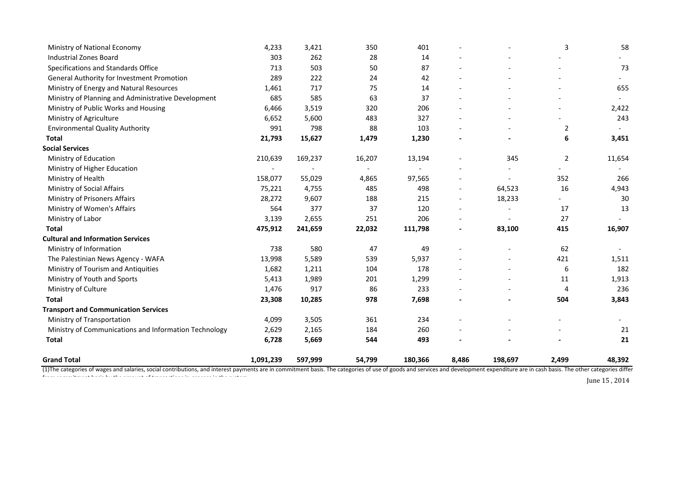| <b>Grand Total</b>                                           | 1,091,239     | 597,999         | 54,799       | 180,366       | 8,486 | 198,697 | 2,499          | 48,392   |
|--------------------------------------------------------------|---------------|-----------------|--------------|---------------|-------|---------|----------------|----------|
|                                                              |               |                 |              |               |       |         |                |          |
| <b>Total</b>                                                 | 6,728         | 5,669           | 544          | 493           |       |         |                | 21       |
| Ministry of Communications and Information Technology        | 2,629         | 2,165           | 184          | 260           |       |         |                | 21       |
| Ministry of Transportation                                   | 4,099         | 3,505           | 361          | 234           |       |         |                |          |
| <b>Transport and Communication Services</b>                  |               |                 |              |               |       |         |                |          |
| <b>Total</b>                                                 | 23,308        | 10,285          | 978          | 7,698         |       |         | 504            | 3,843    |
| Ministry of Culture                                          | 1,476         | 917             | 86           | 233           |       |         | 4              | 236      |
| Ministry of Youth and Sports                                 | 5,413         | 1,989           | 201          | 1,299         |       |         | 11             | 1,913    |
| Ministry of Tourism and Antiquities                          | 1,682         | 1,211           | 104          | 178           |       |         | 6              | 182      |
| The Palestinian News Agency - WAFA                           | 13,998        | 5,589           | 539          | 5,937         |       |         | 421            | 1,511    |
| Ministry of Information                                      | 738           | 580             | 47           | 49            |       |         | 62             |          |
| <b>Cultural and Information Services</b>                     |               |                 |              |               |       |         |                |          |
| Ministry of Labor<br><b>Total</b>                            | 475,912       | 241,659         | 22,032       | 111,798       |       | 83,100  | 415            | 16,907   |
|                                                              | 3,139         | 2,655           | 251          | 206           |       |         | 27             |          |
| Ministry of Prisoners Affairs<br>Ministry of Women's Affairs | 28,272<br>564 | 9,607<br>377    | 188<br>37    | 215<br>120    |       | 18,233  | 17             | 30<br>13 |
|                                                              | 75,221        |                 |              |               |       | 64,523  |                |          |
| Ministry of Health<br>Ministry of Social Affairs             | 158,077       | 55,029<br>4,755 | 4,865<br>485 | 97,565<br>498 |       |         | 16             | 4,943    |
| Ministry of Higher Education                                 |               |                 |              |               |       |         | 352            | 266      |
| Ministry of Education                                        | 210,639       | 169,237         | 16,207       | 13,194        |       | 345     | $\overline{2}$ | 11,654   |
| <b>Social Services</b>                                       |               |                 |              |               |       |         |                |          |
| <b>Total</b>                                                 | 21,793        | 15,627          | 1,479        | 1,230         |       |         | 6              | 3,451    |
| <b>Environmental Quality Authority</b>                       | 991           | 798             | 88           | 103           |       |         | $\overline{2}$ |          |
| Ministry of Agriculture                                      | 6,652         | 5,600           | 483          | 327           |       |         |                | 243      |
| Ministry of Public Works and Housing                         | 6,466         | 3,519           | 320          | 206           |       |         |                | 2,422    |
| Ministry of Planning and Administrative Development          | 685           | 585             | 63           | 37            |       |         |                |          |
| Ministry of Energy and Natural Resources                     | 1,461         | 717             | 75           | 14            |       |         |                | 655      |
| General Authority for Investment Promotion                   | 289           | 222             | 24           | 42            |       |         |                |          |
| Specifications and Standards Office                          | 713           | 503             | 50           | 87            |       |         |                | 73       |
| <b>Industrial Zones Board</b>                                | 303           | 262             | 28           | 14            |       |         |                |          |
| Ministry of National Economy                                 | 4,233         | 3,421           | 350          | 401           |       |         | 3              | 58       |
|                                                              |               |                 |              |               |       |         |                |          |

(1) The categories of wages and salaries, social contributions, and interest payments are in commitment basis. The categories of use of goods and services and development expenditure are in cash basis. The other categories from commitment basis by the amount of transactions in-process in the system.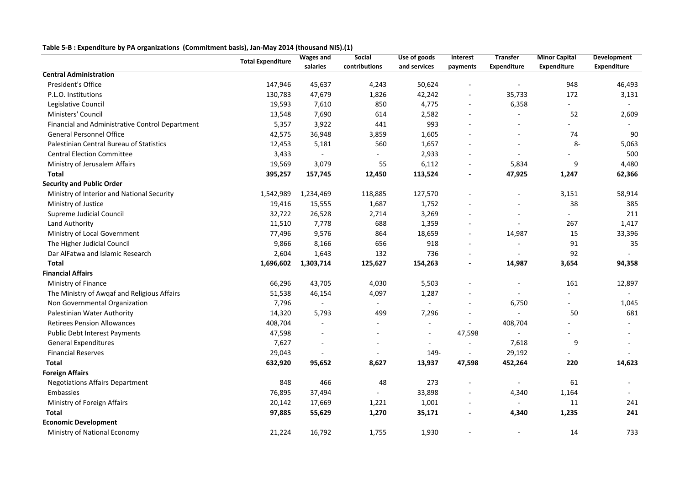|                                                 | <b>Total Expenditure</b> | <b>Wages and</b>         | Social                   | Use of goods             | <b>Interest</b>          | <b>Transfer</b>          | <b>Minor Capital</b> | <b>Development</b> |
|-------------------------------------------------|--------------------------|--------------------------|--------------------------|--------------------------|--------------------------|--------------------------|----------------------|--------------------|
|                                                 |                          | salaries                 | contributions            | and services             | payments                 | <b>Expenditure</b>       | Expenditure          | <b>Expenditure</b> |
| <b>Central Administration</b>                   |                          |                          |                          |                          |                          |                          |                      |                    |
| President's Office                              | 147,946                  | 45,637                   | 4,243                    | 50,624                   |                          |                          | 948                  | 46,493             |
| P.L.O. Institutions                             | 130,783                  | 47,679                   | 1,826                    | 42,242                   | $\overline{\phantom{0}}$ | 35,733                   | 172                  | 3,131              |
| Legislative Council                             | 19,593                   | 7,610                    | 850                      | 4,775                    | $\overline{\phantom{a}}$ | 6,358                    |                      |                    |
| Ministers' Council                              | 13,548                   | 7,690                    | 614                      | 2,582                    | $\overline{\phantom{0}}$ |                          | 52                   | 2,609              |
| Financial and Administrative Control Department | 5,357                    | 3,922                    | 441                      | 993                      |                          |                          |                      |                    |
| <b>General Personnel Office</b>                 | 42,575                   | 36,948                   | 3,859                    | 1,605                    |                          |                          | 74                   | 90                 |
| Palestinian Central Bureau of Statistics        | 12,453                   | 5,181                    | 560                      | 1,657                    |                          |                          | $8-$                 | 5,063              |
| <b>Central Election Committee</b>               | 3,433                    | $\overline{\phantom{a}}$ |                          | 2,933                    |                          |                          |                      | 500                |
| Ministry of Jerusalem Affairs                   | 19,569                   | 3,079                    | 55                       | 6,112                    | $\qquad \qquad -$        | 5,834                    | 9                    | 4,480              |
| <b>Total</b>                                    | 395,257                  | 157,745                  | 12,450                   | 113,524                  |                          | 47,925                   | 1,247                | 62,366             |
| <b>Security and Public Order</b>                |                          |                          |                          |                          |                          |                          |                      |                    |
| Ministry of Interior and National Security      | 1,542,989                | 1,234,469                | 118,885                  | 127,570                  |                          |                          | 3,151                | 58,914             |
| Ministry of Justice                             | 19,416                   | 15,555                   | 1,687                    | 1,752                    |                          |                          | 38                   | 385                |
| Supreme Judicial Council                        | 32,722                   | 26,528                   | 2,714                    | 3,269                    |                          |                          |                      | 211                |
| Land Authority                                  | 11,510                   | 7,778                    | 688                      | 1,359                    |                          |                          | 267                  | 1,417              |
| Ministry of Local Government                    | 77,496                   | 9,576                    | 864                      | 18,659                   | $\overline{\phantom{0}}$ | 14,987                   | 15                   | 33,396             |
| The Higher Judicial Council                     | 9,866                    | 8,166                    | 656                      | 918                      |                          |                          | 91                   | 35                 |
| Dar AlFatwa and Islamic Research                | 2,604                    | 1,643                    | 132                      | 736                      | $\overline{\phantom{0}}$ |                          | 92                   |                    |
| <b>Total</b>                                    | 1,696,602                | 1,303,714                | 125,627                  | 154,263                  | $\overline{a}$           | 14,987                   | 3,654                | 94,358             |
| <b>Financial Affairs</b>                        |                          |                          |                          |                          |                          |                          |                      |                    |
| Ministry of Finance                             | 66,296                   | 43,705                   | 4,030                    | 5,503                    |                          |                          | 161                  | 12,897             |
| The Ministry of Awqaf and Religious Affairs     | 51,538                   | 46,154                   | 4,097                    | 1,287                    |                          |                          |                      |                    |
| Non Governmental Organization                   | 7,796                    | $\overline{\phantom{a}}$ | $\overline{\phantom{a}}$ |                          | $\overline{a}$           | 6,750                    |                      | 1,045              |
| Palestinian Water Authority                     | 14,320                   | 5,793                    | 499                      | 7,296                    |                          |                          | 50                   | 681                |
| <b>Retirees Pension Allowances</b>              | 408,704                  |                          |                          |                          |                          | 408,704                  |                      |                    |
| Public Debt Interest Payments                   | 47,598                   | $\overline{\phantom{a}}$ |                          | $\overline{\phantom{a}}$ | 47,598                   |                          |                      |                    |
| <b>General Expenditures</b>                     | 7,627                    |                          |                          |                          |                          | 7,618                    | 9                    |                    |
| <b>Financial Reserves</b>                       | 29,043                   |                          |                          | 149-                     |                          | 29,192                   |                      |                    |
| <b>Total</b>                                    | 632,920                  | 95,652                   | 8,627                    | 13,937                   | 47,598                   | 452,264                  | 220                  | 14,623             |
| <b>Foreign Affairs</b>                          |                          |                          |                          |                          |                          |                          |                      |                    |
| <b>Negotiations Affairs Department</b>          | 848                      | 466                      | 48                       | 273                      |                          | $\overline{\phantom{a}}$ | 61                   | $\sim$             |
| Embassies                                       | 76,895                   | 37,494                   |                          | 33,898                   |                          | 4,340                    | 1,164                |                    |
| Ministry of Foreign Affairs                     | 20,142                   | 17,669                   | 1,221                    | 1,001                    |                          |                          | 11                   | 241                |
| <b>Total</b>                                    | 97,885                   | 55,629                   | 1,270                    | 35,171                   |                          | 4,340                    | 1,235                | 241                |
| <b>Economic Development</b>                     |                          |                          |                          |                          |                          |                          |                      |                    |
| Ministry of National Economy                    | 21,224                   | 16,792                   | 1,755                    | 1,930                    |                          | $\overline{\phantom{a}}$ | 14                   | 733                |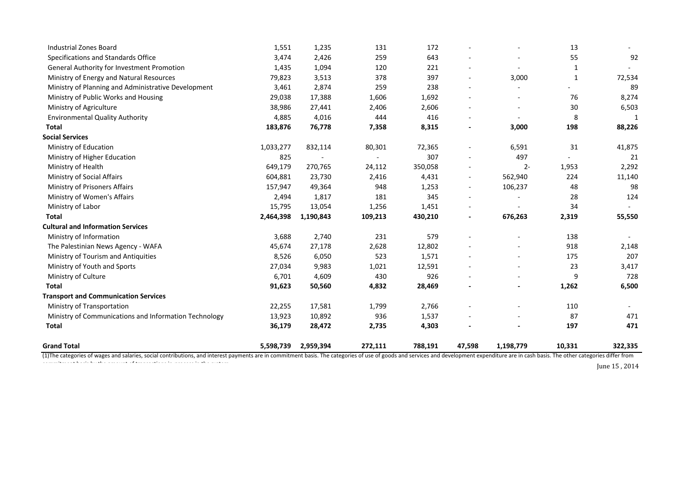| <b>Industrial Zones Board</b>                         | 1,551     | 1,235     | 131     | 172     |                          |                | 13           |         |
|-------------------------------------------------------|-----------|-----------|---------|---------|--------------------------|----------------|--------------|---------|
| Specifications and Standards Office                   | 3,474     | 2,426     | 259     | 643     |                          |                | 55           | 92      |
| <b>General Authority for Investment Promotion</b>     | 1,435     | 1,094     | 120     | 221     |                          |                | 1            |         |
| Ministry of Energy and Natural Resources              | 79,823    | 3,513     | 378     | 397     | $\overline{\phantom{a}}$ | 3,000          | $\mathbf{1}$ | 72,534  |
| Ministry of Planning and Administrative Development   | 3,461     | 2,874     | 259     | 238     |                          |                |              | 89      |
| Ministry of Public Works and Housing                  | 29,038    | 17,388    | 1,606   | 1,692   |                          |                | 76           | 8,274   |
| Ministry of Agriculture                               | 38,986    | 27,441    | 2,406   | 2,606   |                          |                | 30           | 6,503   |
| <b>Environmental Quality Authority</b>                | 4,885     | 4,016     | 444     | 416     |                          |                | 8            | 1       |
| <b>Total</b>                                          | 183,876   | 76,778    | 7,358   | 8,315   |                          | 3,000          | 198          | 88,226  |
| <b>Social Services</b>                                |           |           |         |         |                          |                |              |         |
| Ministry of Education                                 | 1,033,277 | 832,114   | 80,301  | 72,365  |                          | 6,591          | 31           | 41,875  |
| Ministry of Higher Education                          | 825       |           |         | 307     |                          | 497            |              | 21      |
| Ministry of Health                                    | 649,179   | 270,765   | 24,112  | 350,058 |                          | $2 -$          | 1,953        | 2,292   |
| Ministry of Social Affairs                            | 604,881   | 23,730    | 2,416   | 4,431   | $\overline{\phantom{a}}$ | 562,940        | 224          | 11,140  |
| Ministry of Prisoners Affairs                         | 157,947   | 49,364    | 948     | 1,253   | $\overline{\phantom{a}}$ | 106,237        | 48           | 98      |
| Ministry of Women's Affairs                           | 2,494     | 1,817     | 181     | 345     |                          |                | 28           | 124     |
| Ministry of Labor                                     | 15,795    | 13,054    | 1,256   | 1,451   | $\overline{\phantom{a}}$ |                | 34           |         |
| <b>Total</b>                                          | 2,464,398 | 1,190,843 | 109,213 | 430,210 | $\blacksquare$           | 676,263        | 2,319        | 55,550  |
| <b>Cultural and Information Services</b>              |           |           |         |         |                          |                |              |         |
| Ministry of Information                               | 3,688     | 2,740     | 231     | 579     |                          |                | 138          |         |
| The Palestinian News Agency - WAFA                    | 45,674    | 27,178    | 2,628   | 12,802  |                          |                | 918          | 2,148   |
| Ministry of Tourism and Antiquities                   | 8,526     | 6,050     | 523     | 1,571   |                          |                | 175          | 207     |
| Ministry of Youth and Sports                          | 27,034    | 9,983     | 1,021   | 12,591  |                          |                | 23           | 3,417   |
| Ministry of Culture                                   | 6,701     | 4,609     | 430     | 926     |                          |                | 9            | 728     |
| <b>Total</b>                                          | 91,623    | 50,560    | 4,832   | 28,469  |                          | $\blacksquare$ | 1,262        | 6,500   |
| <b>Transport and Communication Services</b>           |           |           |         |         |                          |                |              |         |
| Ministry of Transportation                            | 22,255    | 17,581    | 1,799   | 2,766   |                          |                | 110          |         |
| Ministry of Communications and Information Technology | 13,923    | 10,892    | 936     | 1,537   |                          |                | 87           | 471     |
| <b>Total</b>                                          | 36,179    | 28,472    | 2,735   | 4,303   |                          |                | 197          | 471     |
| <b>Grand Total</b>                                    | 5,598,739 | 2,959,394 | 272,111 | 788,191 | 47,598                   | 1,198,779      | 10,331       | 322,335 |

(1) The categories of wages and salaries, social contributions, and interest payments are in commitment basis. The categories of use of goods and services and development expenditure are in cash basis. The other categories commitment basis by the amount of transactions in the system in-process in-process in-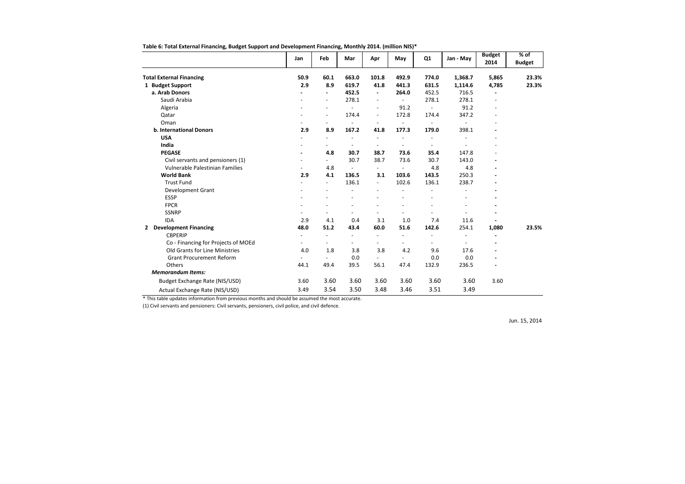|                                              | Jan                      | Feb                      | Mar                      | Apr                      | May                      | Q1                       | Jan - May | <b>Budget</b><br>2014 | $%$ of<br><b>Budget</b> |
|----------------------------------------------|--------------------------|--------------------------|--------------------------|--------------------------|--------------------------|--------------------------|-----------|-----------------------|-------------------------|
| <b>Total External Financing</b>              | 50.9                     | 60.1                     | 663.0                    | 101.8                    | 492.9                    | 774.0                    | 1,368.7   | 5,865                 | 23.3%                   |
| 1 Budget Support                             | 2.9                      | 8.9                      | 619.7                    | 41.8                     | 441.3                    | 631.5                    | 1,114.6   | 4,785                 | 23.3%                   |
| a. Arab Donors                               |                          | $\blacksquare$           | 452.5                    | $\blacksquare$           | 264.0                    | 452.5                    | 716.5     |                       |                         |
| Saudi Arabia                                 |                          | $\blacksquare$           | 278.1                    | $\overline{\phantom{a}}$ | $\overline{\phantom{0}}$ | 278.1                    | 278.1     |                       |                         |
| Algeria                                      |                          | $\sim$                   | $\overline{a}$           | $\overline{a}$           | 91.2                     | $\overline{\phantom{a}}$ | 91.2      |                       |                         |
| Qatar                                        |                          | $\blacksquare$           | 174.4                    | $\overline{\phantom{a}}$ | 172.8                    | 174.4                    | 347.2     |                       |                         |
| Oman                                         | $\overline{\phantom{a}}$ | $\overline{\phantom{a}}$ | $\overline{\phantom{a}}$ | $\overline{\phantom{a}}$ |                          | $\overline{\phantom{a}}$ |           |                       |                         |
| b. International Donors                      | 2.9                      | 8.9                      | 167.2                    | 41.8                     | 177.3                    | 179.0                    | 398.1     |                       |                         |
| <b>USA</b>                                   | $\overline{\phantom{a}}$ | $\sim$                   |                          | $\overline{\phantom{a}}$ | $\overline{\phantom{a}}$ | $\blacksquare$           |           |                       |                         |
| India                                        |                          |                          |                          |                          |                          |                          |           |                       |                         |
| <b>PEGASE</b>                                | $\overline{\phantom{0}}$ | 4.8                      | 30.7                     | 38.7                     | 73.6                     | 35.4                     | 147.8     |                       |                         |
| Civil servants and pensioners (1)            |                          |                          | 30.7                     | 38.7                     | 73.6                     | 30.7                     | 143.0     |                       |                         |
| Vulnerable Palestinian Families              | $\overline{a}$           | 4.8                      | $\overline{\phantom{a}}$ | $\overline{\phantom{a}}$ |                          | 4.8                      | 4.8       |                       |                         |
| <b>World Bank</b>                            | 2.9                      | 4.1                      | 136.5                    | 3.1                      | 103.6                    | 143.5                    | 250.3     |                       |                         |
| <b>Trust Fund</b>                            | $\overline{a}$           | $\overline{\phantom{a}}$ | 136.1                    | $\blacksquare$           | 102.6                    | 136.1                    | 238.7     |                       |                         |
| Development Grant                            |                          |                          |                          |                          |                          |                          |           |                       |                         |
| <b>ESSP</b>                                  |                          |                          |                          |                          |                          |                          |           |                       |                         |
| <b>FPCR</b>                                  |                          |                          |                          |                          |                          |                          |           |                       |                         |
| <b>SSNRP</b>                                 | $\overline{\phantom{a}}$ | $\overline{\phantom{a}}$ | $\sim$                   | $\overline{\phantom{a}}$ |                          |                          |           |                       |                         |
| <b>IDA</b>                                   | 2.9                      | 4.1                      | 0.4                      | 3.1                      | 1.0                      | 7.4                      | 11.6      |                       |                         |
| <b>Development Financing</b><br>$\mathbf{2}$ | 48.0                     | 51.2                     | 43.4                     | 60.0                     | 51.6                     | 142.6                    | 254.1     | 1,080                 | 23.5%                   |
| <b>CBPERIP</b>                               | $\overline{\phantom{a}}$ | $\sim$                   | $\overline{a}$           | $\overline{\phantom{a}}$ | $\overline{\phantom{a}}$ |                          |           |                       |                         |
| Co - Financing for Projects of MOEd          |                          |                          |                          |                          |                          |                          |           |                       |                         |
| Old Grants for Line Ministries               | 4.0                      | 1.8                      | 3.8                      | 3.8                      | 4.2                      | 9.6                      | 17.6      |                       |                         |
| <b>Grant Procurement Reform</b>              | $\frac{1}{2}$            | $\overline{a}$           | 0.0                      | $\overline{\phantom{a}}$ | $\overline{a}$           | 0.0                      | 0.0       |                       |                         |
| Others                                       | 44.1                     | 49.4                     | 39.5                     | 56.1                     | 47.4                     | 132.9                    | 236.5     |                       |                         |
| <b>Memorandum Items:</b>                     |                          |                          |                          |                          |                          |                          |           |                       |                         |
| Budget Exchange Rate (NIS/USD)               | 3.60                     | 3.60                     | 3.60                     | 3.60                     | 3.60                     | 3.60                     | 3.60      | 3.60                  |                         |
| Actual Exchange Rate (NIS/USD)               | 3.49                     | 3.54                     | 3.50                     | 3.48                     | 3.46                     | 3.51                     | 3.49      |                       |                         |

**Table 6: Total External Financing, Budget Support and Development Financing, Monthly 2014. (million NIS)\***

\* This table updates information from previous months and should be assumed the most accurate.

(1) Civil servants and pensioners: Civil servants, pensioners, civil police, and civil defence.

Jun. 15, 2014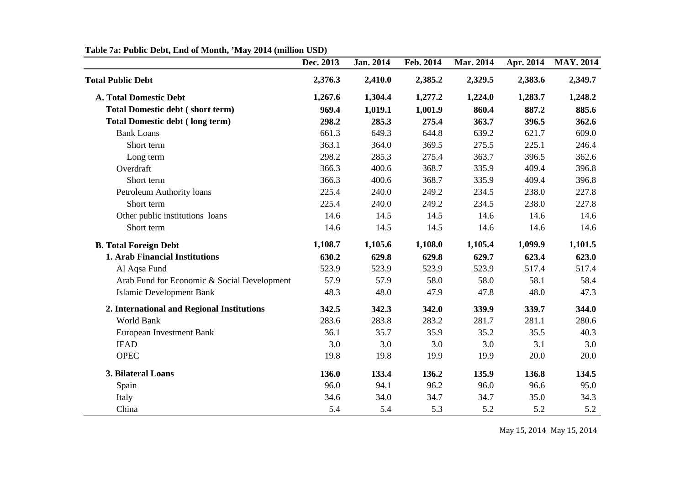|                                             | Dec. 2013 | <b>Jan. 2014</b> | Feb. 2014 | Mar. 2014 | Apr. 2014 | <b>MAY. 2014</b> |
|---------------------------------------------|-----------|------------------|-----------|-----------|-----------|------------------|
| <b>Total Public Debt</b>                    | 2,376.3   | 2,410.0          | 2,385.2   | 2,329.5   | 2,383.6   | 2,349.7          |
| <b>A. Total Domestic Debt</b>               | 1,267.6   | 1,304.4          | 1,277.2   | 1,224.0   | 1,283.7   | 1,248.2          |
| <b>Total Domestic debt (short term)</b>     | 969.4     | 1,019.1          | 1,001.9   | 860.4     | 887.2     | 885.6            |
| <b>Total Domestic debt (long term)</b>      | 298.2     | 285.3            | 275.4     | 363.7     | 396.5     | 362.6            |
| <b>Bank Loans</b>                           | 661.3     | 649.3            | 644.8     | 639.2     | 621.7     | 609.0            |
| Short term                                  | 363.1     | 364.0            | 369.5     | 275.5     | 225.1     | 246.4            |
| Long term                                   | 298.2     | 285.3            | 275.4     | 363.7     | 396.5     | 362.6            |
| Overdraft                                   | 366.3     | 400.6            | 368.7     | 335.9     | 409.4     | 396.8            |
| Short term                                  | 366.3     | 400.6            | 368.7     | 335.9     | 409.4     | 396.8            |
| Petroleum Authority loans                   | 225.4     | 240.0            | 249.2     | 234.5     | 238.0     | 227.8            |
| Short term                                  | 225.4     | 240.0            | 249.2     | 234.5     | 238.0     | 227.8            |
| Other public institutions loans             | 14.6      | 14.5             | 14.5      | 14.6      | 14.6      | 14.6             |
| Short term                                  | 14.6      | 14.5             | 14.5      | 14.6      | 14.6      | 14.6             |
| <b>B. Total Foreign Debt</b>                | 1,108.7   | 1,105.6          | 1,108.0   | 1,105.4   | 1,099.9   | 1,101.5          |
| <b>1. Arab Financial Institutions</b>       | 630.2     | 629.8            | 629.8     | 629.7     | 623.4     | 623.0            |
| Al Aqsa Fund                                | 523.9     | 523.9            | 523.9     | 523.9     | 517.4     | 517.4            |
| Arab Fund for Economic & Social Development | 57.9      | 57.9             | 58.0      | 58.0      | 58.1      | 58.4             |
| <b>Islamic Development Bank</b>             | 48.3      | 48.0             | 47.9      | 47.8      | 48.0      | 47.3             |
| 2. International and Regional Institutions  | 342.5     | 342.3            | 342.0     | 339.9     | 339.7     | 344.0            |
| World Bank                                  | 283.6     | 283.8            | 283.2     | 281.7     | 281.1     | 280.6            |
| <b>European Investment Bank</b>             | 36.1      | 35.7             | 35.9      | 35.2      | 35.5      | 40.3             |
| <b>IFAD</b>                                 | 3.0       | 3.0              | 3.0       | 3.0       | 3.1       | 3.0              |
| <b>OPEC</b>                                 | 19.8      | 19.8             | 19.9      | 19.9      | 20.0      | 20.0             |
| 3. Bilateral Loans                          | 136.0     | 133.4            | 136.2     | 135.9     | 136.8     | 134.5            |
| Spain                                       | 96.0      | 94.1             | 96.2      | 96.0      | 96.6      | 95.0             |
| Italy                                       | 34.6      | 34.0             | 34.7      | 34.7      | 35.0      | 34.3             |
| China                                       | 5.4       | 5.4              | 5.3       | 5.2       | 5.2       | 5.2              |

# **Table 7a: Public Debt, End of Month, 'May 2014 (million USD)**

May 15, 2014 May 15, 2014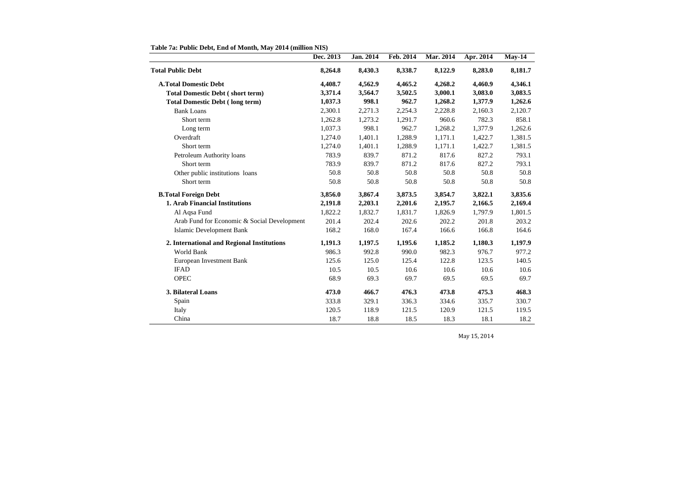|                                             | Dec. 2013 | Jan. 2014 | Feb. 2014 | <b>Mar. 2014</b> | Apr. 2014 | $May-14$ |
|---------------------------------------------|-----------|-----------|-----------|------------------|-----------|----------|
| <b>Total Public Debt</b>                    | 8,264.8   | 8,430.3   | 8,338.7   | 8,122.9          | 8,283.0   | 8,181.7  |
| <b>A.Total Domestic Debt</b>                | 4,408.7   | 4,562.9   | 4,465.2   | 4,268.2          | 4,460.9   | 4,346.1  |
| <b>Total Domestic Debt (short term)</b>     | 3,371.4   | 3,564.7   | 3,502.5   | 3,000.1          | 3,083.0   | 3,083.5  |
| <b>Total Domestic Debt (long term)</b>      | 1,037.3   | 998.1     | 962.7     | 1,268.2          | 1,377.9   | 1,262.6  |
| <b>Bank Loans</b>                           | 2,300.1   | 2,271.3   | 2,254.3   | 2,228.8          | 2,160.3   | 2,120.7  |
| Short term                                  | 1,262.8   | 1,273.2   | 1,291.7   | 960.6            | 782.3     | 858.1    |
| Long term                                   | 1,037.3   | 998.1     | 962.7     | 1,268.2          | 1,377.9   | 1,262.6  |
| Overdraft                                   | 1,274.0   | 1,401.1   | 1,288.9   | 1,171.1          | 1,422.7   | 1,381.5  |
| Short term                                  | 1,274.0   | 1,401.1   | 1,288.9   | 1,171.1          | 1,422.7   | 1,381.5  |
| Petroleum Authority loans                   | 783.9     | 839.7     | 871.2     | 817.6            | 827.2     | 793.1    |
| Short term                                  | 783.9     | 839.7     | 871.2     | 817.6            | 827.2     | 793.1    |
| Other public institutions loans             | 50.8      | 50.8      | 50.8      | 50.8             | 50.8      | 50.8     |
| Short term                                  | 50.8      | 50.8      | 50.8      | 50.8             | 50.8      | 50.8     |
| <b>B.Total Foreign Debt</b>                 | 3,856.0   | 3,867.4   | 3,873.5   | 3,854.7          | 3,822.1   | 3,835.6  |
| <b>1. Arab Financial Institutions</b>       | 2,191.8   | 2,203.1   | 2,201.6   | 2,195.7          | 2,166.5   | 2,169.4  |
| Al Aqsa Fund                                | 1,822.2   | 1,832.7   | 1,831.7   | 1,826.9          | 1,797.9   | 1,801.5  |
| Arab Fund for Economic & Social Development | 201.4     | 202.4     | 202.6     | 202.2            | 201.8     | 203.2    |
| <b>Islamic Development Bank</b>             | 168.2     | 168.0     | 167.4     | 166.6            | 166.8     | 164.6    |
| 2. International and Regional Institutions  | 1,191.3   | 1,197.5   | 1,195.6   | 1,185.2          | 1,180.3   | 1,197.9  |
| World Bank                                  | 986.3     | 992.8     | 990.0     | 982.3            | 976.7     | 977.2    |
| <b>European Investment Bank</b>             | 125.6     | 125.0     | 125.4     | 122.8            | 123.5     | 140.5    |
| <b>IFAD</b>                                 | 10.5      | 10.5      | 10.6      | 10.6             | 10.6      | 10.6     |
| <b>OPEC</b>                                 | 68.9      | 69.3      | 69.7      | 69.5             | 69.5      | 69.7     |
| 3. Bilateral Loans                          | 473.0     | 466.7     | 476.3     | 473.8            | 475.3     | 468.3    |
| Spain                                       | 333.8     | 329.1     | 336.3     | 334.6            | 335.7     | 330.7    |
| Italy                                       | 120.5     | 118.9     | 121.5     | 120.9            | 121.5     | 119.5    |
| China                                       | 18.7      | 18.8      | 18.5      | 18.3             | 18.1      | 18.2     |

**Table 7a: Public Debt, End of Month, May 2014 (million NIS)**

May 15, 2014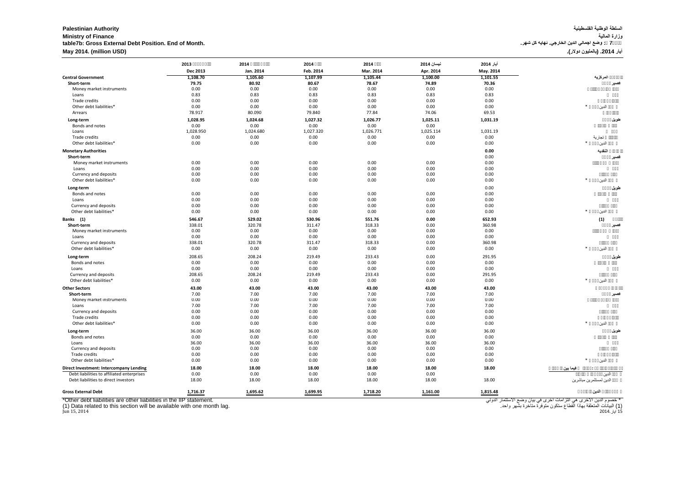# السلطة الوطنية ال<mark>فلسطينية</mark><br>وزارة الماللية **Ministry of Finance المالیة وزارة table7b: Gross External Debt Position. End of Month. .شھر كل نھایة .الخارجي الدین اجمالي وضع : 7جدول أیار .2014 (بالملیون دولار). (USD million (2014. May**

|                                                                                                                                                               | 2013             | 2014             | 2014             | 2014             | نيسان 2014             | أيار 2014    |                                                                                                                                                            |
|---------------------------------------------------------------------------------------------------------------------------------------------------------------|------------------|------------------|------------------|------------------|------------------------|--------------|------------------------------------------------------------------------------------------------------------------------------------------------------------|
|                                                                                                                                                               | <b>Dec 2013</b>  | Jan. 2014        | Feb. 2014        | Mar. 2014        | Apr. 2014              | May. 2014    |                                                                                                                                                            |
| <b>Central Government</b>                                                                                                                                     | 1,108.70         | 1,105.60         | 1,107.99         | 1,105.44         | 1,100.00               | 1,101.55     | المركزية                                                                                                                                                   |
| Short-term                                                                                                                                                    | 79.75            | 80.92            | 80.67            | 78.67            | 74.89                  | 70.36        |                                                                                                                                                            |
| Money market instruments                                                                                                                                      | 0.00             | 0.00             | 0.00             | 0.00             | 0.00                   | 0.00         |                                                                                                                                                            |
| Loans                                                                                                                                                         | 0.83             | 0.83             | 0.83             | 0.83             | 0.83                   | 0.83         |                                                                                                                                                            |
| Trade credits                                                                                                                                                 | 0.00             | 0.00             | 0.00             | 0.00             | 0.00                   | 0.00         |                                                                                                                                                            |
| Other debt liabilities*                                                                                                                                       | 0.00             | 0.00             | 0.00             | 0.00             | 0.00                   | 0.00         | $\ast$<br>الدين                                                                                                                                            |
| Arrears                                                                                                                                                       | 78.917           | 80.090           | 79.840           | 77.84            | 74.06                  | 69.53        |                                                                                                                                                            |
| Long-term<br>Bonds and notes                                                                                                                                  | 1,028.95<br>0.00 | 1,024.68<br>0.00 | 1,027.32<br>0.00 | 1,026.77<br>0.00 | 1,025.11<br>0.00       | 1,031.19     | طويل                                                                                                                                                       |
| Loans                                                                                                                                                         | 1,028.950        | 1,024.680        | 1,027.320        | 1,026.771        | 1,025.114              | 1,031.19     |                                                                                                                                                            |
| Trade credits                                                                                                                                                 | 0.00             | 0.00             | 0.00             | 0.00             | 0.00                   | 0.00         | تجارية                                                                                                                                                     |
| Other debt liabilities*                                                                                                                                       | 0.00             | 0.00             | 0.00             | 0.00             | 0.00                   | 0.00         |                                                                                                                                                            |
|                                                                                                                                                               |                  |                  |                  |                  |                        |              | النقديه                                                                                                                                                    |
| <b>Monetary Authorities</b><br>Short-term                                                                                                                     |                  |                  |                  |                  |                        | 0.00<br>0.00 |                                                                                                                                                            |
| Money market instruments                                                                                                                                      | 0.00             | 0.00             | 0.00             | 0.00             | 0.00                   | 0.00         | فصير                                                                                                                                                       |
| Loans                                                                                                                                                         | 0.00             | 0.00             | 0.00             | 0.00             | 0.00                   | 0.00         |                                                                                                                                                            |
| Currency and deposits                                                                                                                                         | 0.00             | 0.00             | 0.00             | 0.00             | 0.00                   | 0.00         |                                                                                                                                                            |
| Other debt liabilities*                                                                                                                                       | 0.00             | 0.00             | 0.00             | 0.00             | 0.00                   | 0.00         | $\ast$<br>الدين                                                                                                                                            |
|                                                                                                                                                               |                  |                  |                  |                  |                        |              |                                                                                                                                                            |
| Long-term                                                                                                                                                     |                  |                  |                  |                  |                        | 0.00         | طويل                                                                                                                                                       |
| Bonds and notes                                                                                                                                               | 0.00             | 0.00             | 0.00             | 0.00             | 0.00                   | 0.00         |                                                                                                                                                            |
| Loans                                                                                                                                                         | 0.00             | 0.00             | 0.00             | 0.00             | 0.00                   | 0.00         |                                                                                                                                                            |
| Currency and deposits                                                                                                                                         | 0.00             | 0.00             | 0.00             | 0.00             | 0.00                   | 0.00         | $\ast$                                                                                                                                                     |
| Other debt liabilities*                                                                                                                                       | 0.00             | 0.00             | 0.00             | 0.00             | 0.00                   | 0.00         | الدين                                                                                                                                                      |
| Banks (1)                                                                                                                                                     | 546.67           | 529.02           | 530.96           | 551.76           | 0.00                   | 652.93       | (1)                                                                                                                                                        |
| Short-term                                                                                                                                                    | 338.01           | 320.78           | 311.47           | 318.33           | 0.00                   | 360.98       |                                                                                                                                                            |
| Money market instruments                                                                                                                                      | 0.00             | 0.00             | 0.00             | 0.00             | 0.00                   | 0.00         |                                                                                                                                                            |
| Loans                                                                                                                                                         | 0.00             | 0.00             | 0.00             | 0.00             | 0.00                   | 0.00         |                                                                                                                                                            |
| <b>Currency and deposits</b>                                                                                                                                  | 338.01           | 320.78           | 311.47           | 318.33           | 0.00                   | 360.98       |                                                                                                                                                            |
| Other debt liabilities*                                                                                                                                       | 0.00             | 0.00             | 0.00             | 0.00             | 0.00                   | 0.00         | $\ast$<br>الدين                                                                                                                                            |
| Long-term                                                                                                                                                     | 208.65           | 208.24           | 219.49           | 233.43           | 0.00                   | 291.95       | طويل                                                                                                                                                       |
| Bonds and notes                                                                                                                                               | 0.00             | 0.00             | 0.00             | 0.00             | 0.00                   | 0.00         |                                                                                                                                                            |
| Loans                                                                                                                                                         | 0.00             | 0.00             | 0.00             | 0.00             | 0.00                   | 0.00         |                                                                                                                                                            |
| <b>Currency and deposits</b>                                                                                                                                  | 208.65           | 208.24           | 219.49           | 233.43           | 0.00                   | 291.95       |                                                                                                                                                            |
| Other debt liabilities*                                                                                                                                       | 0.00             | 0.00             | 0.00             | 0.00             | 0.00                   | 0.00         | $\ast$<br>الدين                                                                                                                                            |
| <b>Other Sectors</b>                                                                                                                                          | 43.00            | 43.00            | 43.00            | 43.00            | 43.00                  | 43.00        |                                                                                                                                                            |
| Short-term                                                                                                                                                    | 7.00             | 7.00             | 7.00             | 7.00             | 7.00                   | 7.00         | قصير                                                                                                                                                       |
| Money market instruments                                                                                                                                      | 0.00             | 0.00             | 0.00             | 0.00             | 0.00                   | 0.00         |                                                                                                                                                            |
| Loans                                                                                                                                                         | 7.00             | 7.00             | 7.00             | 7.00             | 7.00                   | 7.00         |                                                                                                                                                            |
| Currency and deposits                                                                                                                                         | 0.00             | 0.00             | 0.00             | 0.00             | 0.00                   | 0.00         |                                                                                                                                                            |
| Trade credits                                                                                                                                                 | 0.00             | 0.00             | 0.00             | 0.00             | 0.00                   | 0.00         |                                                                                                                                                            |
| Other debt liabilities*                                                                                                                                       | 0.00             | 0.00             | 0.00             | 0.00             | 0.00                   | 0.00         | ∗<br>الدين                                                                                                                                                 |
| Long-term                                                                                                                                                     | 36.00            | 36.00            | 36.00            | 36.00            | 36.00                  | 36.00        | طويل                                                                                                                                                       |
| Bonds and notes                                                                                                                                               | 0.00             | 0.00             | 0.00             | 0.00             | 0.00                   | 0.00         |                                                                                                                                                            |
| Loans                                                                                                                                                         | 36.00            | 36.00            | 36.00            | 36.00            | 36.00                  | 36.00        |                                                                                                                                                            |
| Currency and deposits                                                                                                                                         | 0.00             | 0.00             | 0.00             | 0.00             | 0.00                   | 0.00         |                                                                                                                                                            |
| Trade credits                                                                                                                                                 | 0.00             | 0.00             | 0.00             | 0.00             | 0.00                   | 0.00         |                                                                                                                                                            |
| Other debt liabilities*                                                                                                                                       | 0.00             | 0.00             | 0.00             | 0.00             | 0.00                   | 0.00         | ∗<br>الدين                                                                                                                                                 |
| <b>Direct Investment: Intercompany Lending</b>                                                                                                                | 18.00            | 18.00            | 18.00            | 18.00            | 18.00                  | 18.00        | فيما بين                                                                                                                                                   |
| Debt liabilities to affiliated enterprises                                                                                                                    | 0.00             | 0.00             | 0.00             | 0.00             | 0.00                   |              | الدين                                                                                                                                                      |
| Debt liabilities to direct investors                                                                                                                          | 18.00            | 18.00            | 18.00            | 18.00            | 18.00                  | 18.00        | الدين لمستثمرين مباشرين                                                                                                                                    |
|                                                                                                                                                               |                  |                  |                  |                  |                        |              |                                                                                                                                                            |
| <b>Gross External Debt</b>                                                                                                                                    | 1,716.37         | 1,695.62         | 1,699.95         | 1,718.20         | $\underline{1,161.00}$ | 1,815.48     | الدين                                                                                                                                                      |
| *Other debt liabilities are other liabilities in the IIP statement.<br>(1) Data related to this section will be available with one month lag.<br>Jun 15, 2014 |                  |                  |                  |                  |                        |              | * خصوم الدين الاخرى هي النز امات اخرى في بيان وضع الاستثمار  الدولي<br>(1) البيانات المتعلقة بهاذا القطاع ستكون متوفرة متاخرة بشّهر واحد.<br>15 أيار .2014 |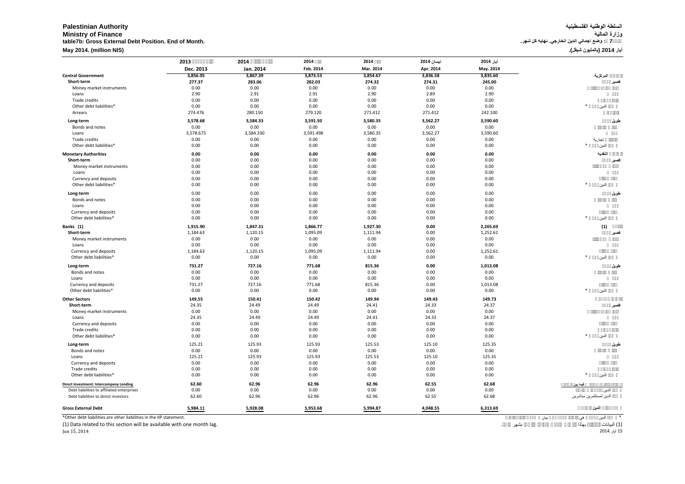# **السلطة الوطنیة الفلسطینیة Authority Palestinian Ministry of Finance المالیة وزارة table7b: Gross External Debt Position. End of Month. .شھر كل نھایة .الخارجي الدین اجمالي وضع : 7جدول**

|  | أيار 2014 (بالمليون شيقل). |  |  |
|--|----------------------------|--|--|
|--|----------------------------|--|--|

|                                                                        | 2013      | 2014      | 2014      | 2014      | نيسان 2014 | أيار 2014         |                         |
|------------------------------------------------------------------------|-----------|-----------|-----------|-----------|------------|-------------------|-------------------------|
|                                                                        | Dec. 2013 | Jan. 2014 | Feb. 2014 | Mar. 2014 | Apr. 2014  | May. 2014         |                         |
| <b>Central Government</b>                                              | 3,856.05  | 3,867.39  | 3,873.53  | 3,854.67  | 3,836.58   | 3,835.60          | المركزية                |
| Short-term                                                             | 277.37    | 283.06    | 282.03    | 274.32    | 274.31     | 245.00            | فصير                    |
| Money market instruments                                               | 0.00      | 0.00      | 0.00      | 0.00      | 0.00       | 0.00              |                         |
| Loans                                                                  | 2.90      | 2.91      | 2.91      | 2.90      | 2.89       | 2.90              |                         |
| Trade credits                                                          | 0.00      | 0.00      | 0.00      | 0.00      | 0.00       | 0.00              |                         |
| Other debt liabilities*                                                | 0.00      | 0.00      | 0.00      | 0.00      | 0.00       | 0.00              | الدين                   |
| Arrears                                                                | 274.476   | 280.150   | 279.120   | 271.412   | 271.412    | 242.100           |                         |
| Long-term                                                              | 3,578.68  | 3,584.33  | 3,591.50  | 3,580.35  | 3,562.27   | 3,590.60          | طويل                    |
| Bonds and notes                                                        | 0.00      | 0.00      | 0.00      | 0.00      | 0.00       | 0.00              |                         |
| Loans                                                                  | 3,578.675 | 3,584.330 | 3,591.498 | 3,580.35  | 3,562.27   | 3,590.60          |                         |
| Trade credits                                                          | 0.00      | 0.00      | 0.00      | 0.00      | 0.00       | 0.00              | تجارية                  |
| Other debt liabilities*                                                | 0.00      | 0.00      | 0.00      | 0.00      | 0.00       | 0.00              |                         |
| <b>Monetary Authorities</b>                                            | 0.00      | 0.00      | 0.00      | 0.00      | 0.00       | 0.00              | النقدية                 |
| Short-term                                                             | 0.00      | 0.00      | 0.00      | 0.00      | 0.00       | 0.00              | قصير                    |
| Money market instruments                                               | 0.00      | 0.00      | 0.00      | 0.00      | 0.00       | 0.00              |                         |
| Loans                                                                  | 0.00      | 0.00      | 0.00      | 0.00      | 0.00       | 0.00              |                         |
| Currency and deposits                                                  | 0.00      | 0.00      | 0.00      | 0.00      | 0.00       | 0.00              |                         |
| Other debt liabilities*                                                | 0.00      | 0.00      | 0.00      | 0.00      | 0.00       | 0.00              | الدبن                   |
| Long-term                                                              | 0.00      | 0.00      | 0.00      | 0.00      | 0.00       | 0.00              | طويل                    |
| Bonds and notes                                                        | 0.00      | 0.00      | 0.00      | 0.00      | 0.00       | 0.00              |                         |
| Loans                                                                  | 0.00      | 0.00      | 0.00      | 0.00      | 0.00       | 0.00              |                         |
| Currency and deposits                                                  | 0.00      | 0.00      | 0.00      | 0.00      | 0.00       | 0.00              |                         |
| Other debt liabilities*                                                | 0.00      | 0.00      | 0.00      | 0.00      | 0.00       | 0.00              | الدين                   |
| Banks (1)                                                              | 1,915.90  | 1,847.31  | 1,866.77  | 1,927.30  | 0.00       | 2,265.69          | (1)                     |
| Short-term                                                             | 1,184.63  | 1,120.15  | 1,095.09  | 1,111.94  | 0.00       | 1,252.61          | قصير                    |
| Money market instruments                                               | 0.00      | 0.00      | 0.00      | 0.00      | 0.00       | 0.00              |                         |
| Loans                                                                  | 0.00      | 0.00      | 0.00      | 0.00      | 0.00       | 0.00              |                         |
| Currency and deposits                                                  | 1,184.63  | 1,120.15  | 1,095.09  | 1,111.94  | 0.00       | 1,252.61          |                         |
| Other debt liabilities*                                                | 0.00      | 0.00      | 0.00      | 0.00      | 0.00       | 0.00              | $\ast$<br>الدين         |
| Long-term                                                              | 731.27    | 727.16    | 771.68    | 815.36    | 0.00       | 1,013.08          | طويل                    |
| Bonds and notes                                                        | 0.00      | 0.00      | 0.00      | 0.00      | 0.00       | 0.00              |                         |
| Loans                                                                  | 0.00      | 0.00      | 0.00      | 0.00      | 0.00       | 0.00              |                         |
| Currency and deposits                                                  | 731.27    | 727.16    | 771.68    | 815.36    | 0.00       | 1,013.08          |                         |
| Other debt liabilities*                                                | 0.00      | 0.00      | 0.00      | 0.00      | 0.00       | 0.00              | $\ast$<br>الدين         |
| <b>Other Sectors</b>                                                   | 149.55    | 150.41    | 150.42    | 149.94    | 149.43     | 149.73            |                         |
| Short-term                                                             | 24.35     | 24.49     | 24.49     | 24.41     | 24.33      | 24.37             | قصير                    |
| Money market instruments                                               | 0.00      | 0.00      | 0.00      | 0.00      | 0.00       | 0.00              |                         |
| Loans                                                                  | 24.35     | 24.49     | 24.49     | 24.41     | 24.33      | 24.37             |                         |
| Currency and deposits                                                  | 0.00      | 0.00      | 0.00      | 0.00      | 0.00       | 0.00              |                         |
| Trade credits                                                          | 0.00      | 0.00      | 0.00      | 0.00      | 0.00       | 0.00              |                         |
| Other debt liabilities*                                                | 0.00      | 0.00      | 0.00      | 0.00      | 0.00       | 0.00              | الدين                   |
| Long-term                                                              | 125.21    | 125.93    | 125.93    | 125.53    | 125.10     | 125.35            | طويل                    |
| Bonds and notes                                                        | 0.00      | 0.00      | 0.00      | 0.00      | 0.00       | 0.00              |                         |
| Loans                                                                  | 125.21    | 125.93    | 125.93    | 125.53    | 125.10     | 125.35            |                         |
| Currency and deposits                                                  | 0.00      | 0.00      | 0.00      | 0.00      | 0.00       | 0.00              |                         |
| Trade credits                                                          | 0.00      | 0.00      | 0.00      | 0.00      | 0.00       | 0.00              |                         |
| Other debt liabilities*                                                | 0.00      | 0.00      | 0.00      | 0.00      | 0.00       | 0.00              | الدبر َ                 |
| <b>Direct Investment: Intercompany Lending</b>                         | 62.60     | 62.96     | 62.96     | 62.96     | 62.55      | 62.68             | فيما بين                |
| Debt liabilities to affiliated enterprises                             | 0.00      | 0.00      | 0.00      | 0.00      | 0.00       | 0.00              | الدين                   |
| Debt liabilities to direct investors                                   | 62.60     | 62.96     | 62.96     | 62.96     | 62.55      | 62.68             | الدبن لمستثمرين مباشرين |
|                                                                        |           |           |           |           |            |                   |                         |
| <b>Gross External Debt</b>                                             | 5,984.11  | 5,928.08  | 5,953.68  | 5,994.87  | 4,048.55   | 6,313.69          | الدين                   |
| *Other debt liabilities are other liabilities in the IIP statement.    |           |           |           |           |            |                   | الدين<br>بيان<br>هي     |
| (1) Data related to this section will be available with one month lag. |           |           |           |           |            | بشهر<br>$\bullet$ | (1) البيانات<br>بهاذا   |

15 أیار2014. 2014 15, Jun

**May 2014. (million NIS)**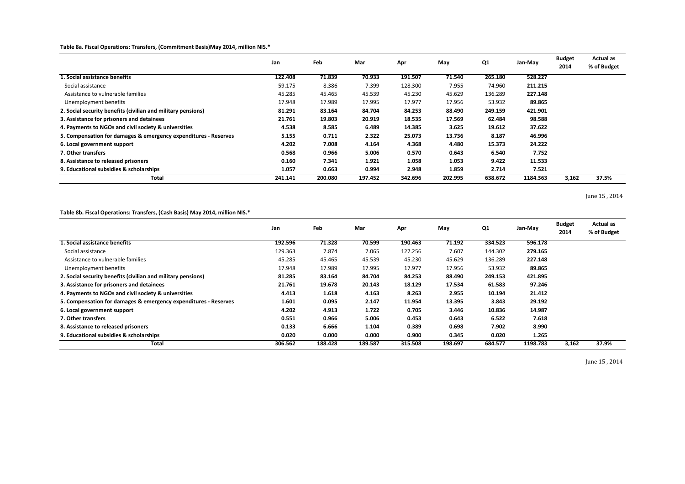### **Table 8a. Fiscal Operations: Transfers, (Commitment Basis)May 2014, million NIS.\***

|                                                                 | Jan     | Feb     | Mar     | Apr     | May     | Q <sub>1</sub> | Jan-May  | <b>Budget</b><br>2014 | <b>Actual as</b><br>% of Budget |
|-----------------------------------------------------------------|---------|---------|---------|---------|---------|----------------|----------|-----------------------|---------------------------------|
| 1. Social assistance benefits                                   | 122.408 | 71.839  | 70.933  | 191.507 | 71.540  | 265.180        | 528.227  |                       |                                 |
| Social assistance                                               | 59.175  | 8.386   | 7.399   | 128.300 | 7.955   | 74.960         | 211.215  |                       |                                 |
| Assistance to vulnerable families                               | 45.285  | 45.465  | 45.539  | 45.230  | 45.629  | 136.289        | 227.148  |                       |                                 |
| Unemployment benefits                                           | 17.948  | 17.989  | 17.995  | 17.977  | 17.956  | 53.932         | 89.865   |                       |                                 |
| 2. Social security benefits (civilian and military pensions)    | 81.291  | 83.164  | 84.704  | 84.253  | 88.490  | 249.159        | 421.901  |                       |                                 |
| 3. Assistance for prisoners and detainees                       | 21.761  | 19.803  | 20.919  | 18.535  | 17.569  | 62.484         | 98.588   |                       |                                 |
| 4. Payments to NGOs and civil society & universities            | 4.538   | 8.585   | 6.489   | 14.385  | 3.625   | 19.612         | 37.622   |                       |                                 |
| 5. Compensation for damages & emergency expenditures - Reserves | 5.155   | 0.711   | 2.322   | 25.073  | 13.736  | 8.187          | 46.996   |                       |                                 |
| 6. Local government support                                     | 4.202   | 7.008   | 4.164   | 4.368   | 4.480   | 15.373         | 24.222   |                       |                                 |
| 7. Other transfers                                              | 0.568   | 0.966   | 5.006   | 0.570   | 0.643   | 6.540          | 7.752    |                       |                                 |
| 8. Assistance to released prisoners                             | 0.160   | 7.341   | 1.921   | 1.058   | 1.053   | 9.422          | 11.533   |                       |                                 |
| 9. Educational subsidies & scholarships                         | 1.057   | 0.663   | 0.994   | 2.948   | 1.859   | 2.714          | 7.521    |                       |                                 |
| <b>Total</b>                                                    | 241.141 | 200.080 | 197.452 | 342.696 | 202.995 | 638.672        | 1184.363 | 3,162                 | 37.5%                           |

June 15 , 2014

### **Table 8b. Fiscal Operations: Transfers, (Cash Basis) May 2014, million NIS.\***

|                                                                 | Jan     | Feb     | Mar     | Apr     | May     | Q <sub>1</sub> | Jan-May  | <b>Budget</b><br>2014 | <b>Actual as</b><br>% of Budget |
|-----------------------------------------------------------------|---------|---------|---------|---------|---------|----------------|----------|-----------------------|---------------------------------|
| 1. Social assistance benefits                                   | 192.596 | 71.328  | 70.599  | 190.463 | 71.192  | 334.523        | 596.178  |                       |                                 |
| Social assistance                                               | 129.363 | 7.874   | 7.065   | 127.256 | 7.607   | 144.302        | 279.165  |                       |                                 |
| Assistance to vulnerable families                               | 45.285  | 45.465  | 45.539  | 45.230  | 45.629  | 136.289        | 227.148  |                       |                                 |
| Unemployment benefits                                           | 17.948  | 17.989  | 17.995  | 17.977  | 17.956  | 53.932         | 89.865   |                       |                                 |
| 2. Social security benefits (civilian and military pensions)    | 81.285  | 83.164  | 84.704  | 84.253  | 88.490  | 249.153        | 421.895  |                       |                                 |
| 3. Assistance for prisoners and detainees                       | 21.761  | 19.678  | 20.143  | 18.129  | 17.534  | 61.583         | 97.246   |                       |                                 |
| 4. Payments to NGOs and civil society & universities            | 4.413   | 1.618   | 4.163   | 8.263   | 2.955   | 10.194         | 21.412   |                       |                                 |
| 5. Compensation for damages & emergency expenditures - Reserves | 1.601   | 0.095   | 2.147   | 11.954  | 13.395  | 3.843          | 29.192   |                       |                                 |
| 6. Local government support                                     | 4.202   | 4.913   | 1.722   | 0.705   | 3.446   | 10.836         | 14.987   |                       |                                 |
| 7. Other transfers                                              | 0.551   | 0.966   | 5.006   | 0.453   | 0.643   | 6.522          | 7.618    |                       |                                 |
| 8. Assistance to released prisoners                             | 0.133   | 6.666   | 1.104   | 0.389   | 0.698   | 7.902          | 8.990    |                       |                                 |
| 9. Educational subsidies & scholarships                         | 0.020   | 0.000   | 0.000   | 0.900   | 0.345   | 0.020          | 1.265    |                       |                                 |
| <b>Total</b>                                                    | 306.562 | 188.428 | 189.587 | 315.508 | 198.697 | 684.577        | 1198.783 | 3,162                 | 37.9%                           |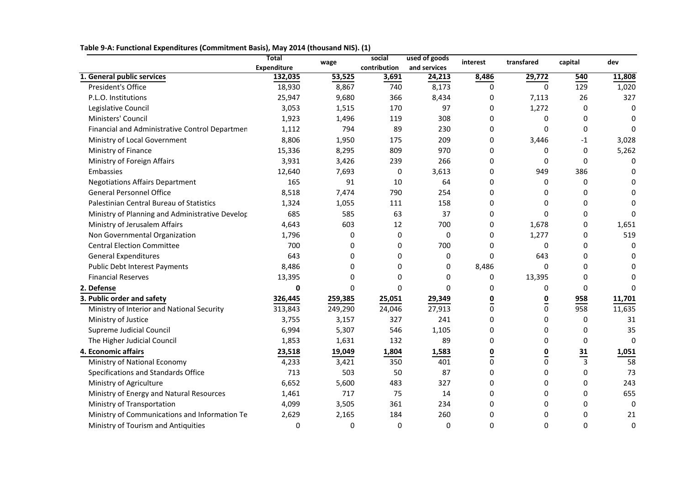**Table 9-A: Functional Expenditures (Commitment Basis), May 2014 (thousand NIS). (1)**

|                                                 | <b>Total</b><br>used of goods<br>social<br>interest<br>wage | transfared   | capital      | dev            |                  |                |                |              |
|-------------------------------------------------|-------------------------------------------------------------|--------------|--------------|----------------|------------------|----------------|----------------|--------------|
|                                                 | <b>Expenditure</b>                                          |              | contribution | and services   |                  |                |                |              |
| 1. General public services                      | 132,035                                                     | 53,525       | 3,691        | 24,213         | 8,486            | 29,772         | 540            | 11,808       |
| President's Office                              | 18,930                                                      | 8,867        | 740          | 8,173          | $\mathbf 0$      | $\mathbf 0$    | 129            | 1,020        |
| P.L.O. Institutions                             | 25,947                                                      | 9,680        | 366          | 8,434          | 0                | 7,113          | 26             | 327          |
| Legislative Council                             | 3,053                                                       | 1,515        | 170          | 97             | 0                | 1,272          | $\Omega$       | $\mathbf{0}$ |
| Ministers' Council                              | 1,923                                                       | 1,496        | 119          | 308            | 0                | 0              | 0              | $\mathbf{0}$ |
| Financial and Administrative Control Departmen  | 1,112                                                       | 794          | 89           | 230            | $\boldsymbol{0}$ | 0              | $\mathbf 0$    | $\mathbf 0$  |
| Ministry of Local Government                    | 8,806                                                       | 1,950        | 175          | 209            | $\mathbf 0$      | 3,446          | $-1$           | 3,028        |
| Ministry of Finance                             | 15,336                                                      | 8,295        | 809          | 970            | 0                | 0              | $\mathbf{0}$   | 5,262        |
| Ministry of Foreign Affairs                     | 3,931                                                       | 3,426        | 239          | 266            | 0                | 0              | $\Omega$       | 0            |
| Embassies                                       | 12,640                                                      | 7,693        | 0            | 3,613          | 0                | 949            | 386            | $\mathbf{0}$ |
| <b>Negotiations Affairs Department</b>          | 165                                                         | 91           | 10           | 64             | 0                | 0              | $\Omega$       | 0            |
| <b>General Personnel Office</b>                 | 8,518                                                       | 7,474        | 790          | 254            | 0                | 0              | $\Omega$       | $\Omega$     |
| Palestinian Central Bureau of Statistics        | 1,324                                                       | 1,055        | 111          | 158            | $\mathbf 0$      | 0              | $\Omega$       | $\Omega$     |
| Ministry of Planning and Administrative Develor | 685                                                         | 585          | 63           | 37             | 0                | 0              | $\mathbf 0$    | $\Omega$     |
| Ministry of Jerusalem Affairs                   | 4,643                                                       | 603          | 12           | 700            | $\boldsymbol{0}$ | 1,678          | $\mathbf 0$    | 1,651        |
| Non Governmental Organization                   | 1,796                                                       | $\mathbf{0}$ | $\mathbf 0$  | $\mathbf 0$    | $\mathbf 0$      | 1,277          | $\Omega$       | 519          |
| <b>Central Election Committee</b>               | 700                                                         | $\mathbf{0}$ | 0            | 700            | $\Omega$         | 0              | $\mathbf{0}$   | $\mathbf{0}$ |
| <b>General Expenditures</b>                     | 643                                                         | $\Omega$     | 0            | $\mathbf 0$    | $\mathbf 0$      | 643            | $\mathbf 0$    | $\Omega$     |
| <b>Public Debt Interest Payments</b>            | 8,486                                                       | 0            | 0            | $\mathbf 0$    | 8,486            | $\mathbf 0$    | $\Omega$       | $\Omega$     |
| <b>Financial Reserves</b>                       | 13,395                                                      | 0            | 0            | 0              | 0                | 13,395         | $\Omega$       | $\Omega$     |
| 2. Defense                                      | 0                                                           | $\Omega$     | 0            | $\overline{0}$ | 0                | 0              | $\mathbf{0}$   | $\Omega$     |
| 3. Public order and safety                      | 326,445                                                     | 259,385      | 25,051       | 29,349         | 0                | $\overline{0}$ | 958            | 11,701       |
| Ministry of Interior and National Security      | 313,843                                                     | 249,290      | 24,046       | 27,913         | $\mathbf 0$      | $\pmb{0}$      | 958            | 11,635       |
| Ministry of Justice                             | 3,755                                                       | 3,157        | 327          | 241            | $\mathbf 0$      | 0              | $\mathbf{0}$   | 31           |
| Supreme Judicial Council                        | 6,994                                                       | 5,307        | 546          | 1,105          | 0                | 0              | $\mathbf{0}$   | 35           |
| The Higher Judicial Council                     | 1,853                                                       | 1,631        | 132          | 89             | 0                | 0              | $\mathbf 0$    | $\mathbf 0$  |
| 4. Economic affairs                             | 23,518                                                      | 19,049       | 1,804        | 1,583          | 0                | 0              |                | 1,051        |
| Ministry of National Economy                    | 4,233                                                       | 3,421        | 350          | 401            | $\mathbf 0$      | 0              | $\frac{31}{3}$ | 58           |
| Specifications and Standards Office             | 713                                                         | 503          | 50           | 87             | $\mathbf 0$      | 0              | 0              | 73           |
| Ministry of Agriculture                         | 6,652                                                       | 5,600        | 483          | 327            | 0                | 0              | $\mathbf 0$    | 243          |
| Ministry of Energy and Natural Resources        | 1,461                                                       | 717          | 75           | 14             | 0                | 0              | $\Omega$       | 655          |
| Ministry of Transportation                      | 4,099                                                       | 3,505        | 361          | 234            | 0                | 0              | $\Omega$       | 0            |
| Ministry of Communications and Information Te   | 2,629                                                       | 2,165        | 184          | 260            | $\mathbf 0$      | 0              | 0              | 21           |
| Ministry of Tourism and Antiquities             | $\mathbf 0$                                                 | $\mathbf 0$  | 0            | $\mathbf 0$    | 0                | 0              | $\mathbf 0$    | $\mathbf 0$  |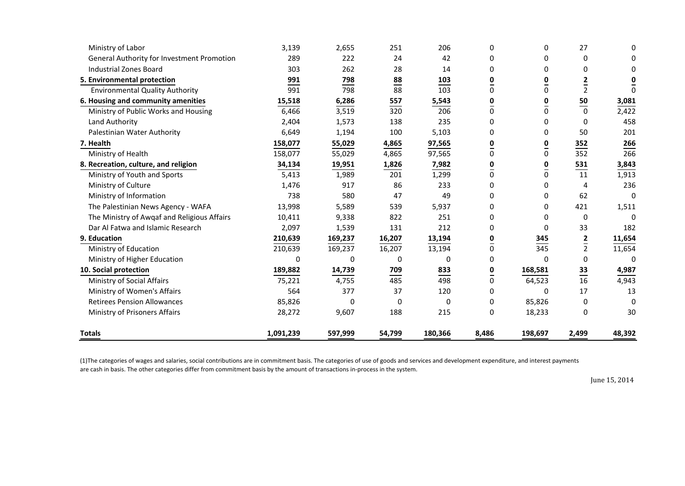| Ministry of Labor                           | 3,139     | 2,655   | 251                       | 206     | 0        | 0        | 27             | 0            |
|---------------------------------------------|-----------|---------|---------------------------|---------|----------|----------|----------------|--------------|
| General Authority for Investment Promotion  | 289       | 222     | 24                        | 42      | 0        | 0        | $\Omega$       | $\Omega$     |
| <b>Industrial Zones Board</b>               | 303       | 262     | 28                        | 14      | 0        | 0        | $\Omega$       | 0            |
| 5. Environmental protection                 | 991       | 798     | $\underline{\mathbf{88}}$ | 103     | 0        | 0        | 2              | 0            |
| <b>Environmental Quality Authority</b>      | 991       | 798     | 88                        | 103     | $\Omega$ | $\Omega$ | $\overline{2}$ | $\Omega$     |
| 6. Housing and community amenities          | 15,518    | 6,286   | 557                       | 5,543   | 0        | 0        | 50             | 3,081        |
| Ministry of Public Works and Housing        | 6,466     | 3,519   | 320                       | 206     | 0        | 0        | $rac{1}{0}$    | 2,422        |
| Land Authority                              | 2,404     | 1,573   | 138                       | 235     | 0        | 0        | <sup>0</sup>   | 458          |
| Palestinian Water Authority                 | 6,649     | 1,194   | 100                       | 5,103   | 0        | 0        | 50             | 201          |
| 7. Health                                   | 158,077   | 55,029  | 4,865                     | 97,565  | 0        | 0        | 352            | 266          |
| Ministry of Health                          | 158,077   | 55,029  | 4,865                     | 97,565  | 0        | 0        | 352            | 266          |
| 8. Recreation, culture, and religion        | 34,134    | 19,951  | 1,826                     | 7,982   | 0        | 0        | 531            | 3,843        |
| Ministry of Youth and Sports                | 5,413     | 1,989   | 201                       | 1,299   | 0        | 0        | 11             | 1,913        |
| Ministry of Culture                         | 1,476     | 917     | 86                        | 233     | 0        | 0        | 4              | 236          |
| Ministry of Information                     | 738       | 580     | 47                        | 49      | $\Omega$ | 0        | 62             | $\Omega$     |
| The Palestinian News Agency - WAFA          | 13,998    | 5,589   | 539                       | 5,937   | 0        | 0        | 421            | 1,511        |
| The Ministry of Awgaf and Religious Affairs | 10,411    | 9,338   | 822                       | 251     | 0        | 0        | $\mathbf 0$    | $\Omega$     |
| Dar Al Fatwa and Islamic Research           | 2,097     | 1,539   | 131                       | 212     | 0        | 0        | 33             | 182          |
| 9. Education                                | 210,639   | 169,237 | 16,207                    | 13,194  | 0        | 345      |                | 11,654       |
| Ministry of Education                       | 210,639   | 169,237 | 16,207                    | 13,194  | 0        | 345      | $rac{2}{2}$    | 11,654       |
| Ministry of Higher Education                | 0         | 0       | 0                         | 0       | 0        | 0        | $\Omega$       | $\mathbf{0}$ |
| 10. Social protection                       | 189,882   | 14,739  | 709                       | 833     | 0        | 168,581  | $\frac{33}{1}$ | 4,987        |
| Ministry of Social Affairs                  | 75,221    | 4,755   | 485                       | 498     | 0        | 64,523   | 16             | 4,943        |
| Ministry of Women's Affairs                 | 564       | 377     | 37                        | 120     | 0        | 0        | 17             | 13           |
| <b>Retirees Pension Allowances</b>          | 85,826    | 0       | 0                         | 0       | 0        | 85,826   | 0              | $\Omega$     |
| Ministry of Prisoners Affairs               | 28,272    | 9,607   | 188                       | 215     | 0        | 18,233   | $\Omega$       | 30           |
| <b>Totals</b>                               | 1,091,239 | 597,999 | 54,799                    | 180,366 | 8,486    | 198,697  | 2,499          | 48,392       |

(1)The categories of wages and salaries, social contributions are in commitment basis. The categories of use of goods and services and development expenditure, and interest payments are cash in basis. The other categories differ from commitment basis by the amount of transactions in-process in the system.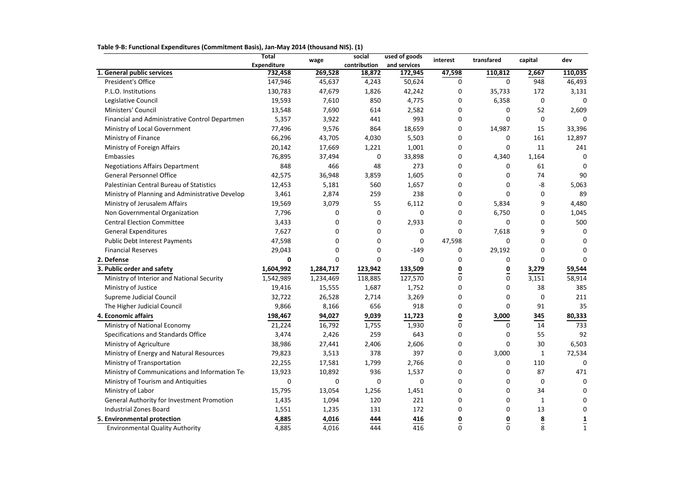**Table 9-B: Functional Expenditures (Commitment Basis), Jan-May 2014 (thousand NIS). (1)**

|                                                 | <b>Total</b>       | wage      | social       | used of goods | interest | transfared     | capital       | dev          |
|-------------------------------------------------|--------------------|-----------|--------------|---------------|----------|----------------|---------------|--------------|
|                                                 | <b>Expenditure</b> |           | contribution | and services  |          |                |               |              |
| 1. General public services                      | 732,458            | 269,528   | 18,872       | 172,945       | 47,598   | 110,812        | 2,667         | 110,035      |
| President's Office                              | 147,946            | 45,637    | 4,243        | 50,624        | 0        | 0              | 948           | 46,493       |
| P.L.O. Institutions                             | 130,783            | 47,679    | 1,826        | 42,242        | 0        | 35,733         | 172           | 3,131        |
| Legislative Council                             | 19,593             | 7,610     | 850          | 4,775         | 0        | 6,358          | 0             | $\Omega$     |
| Ministers' Council                              | 13,548             | 7,690     | 614          | 2,582         | 0        | 0              | 52            | 2,609        |
| Financial and Administrative Control Departmen  | 5,357              | 3,922     | 441          | 993           | 0        | 0              | $\Omega$      |              |
| Ministry of Local Government                    | 77,496             | 9,576     | 864          | 18,659        | 0        | 14,987         | 15            | 33,396       |
| Ministry of Finance                             | 66,296             | 43,705    | 4,030        | 5,503         | 0        | 0              | 161           | 12,897       |
| Ministry of Foreign Affairs                     | 20,142             | 17,669    | 1,221        | 1,001         | 0        | 0              | 11            | 241          |
| Embassies                                       | 76,895             | 37,494    | 0            | 33,898        | 0        | 4,340          | 1,164         | 0            |
| <b>Negotiations Affairs Department</b>          | 848                | 466       | 48           | 273           | 0        | 0              | 61            | 0            |
| <b>General Personnel Office</b>                 | 42,575             | 36,948    | 3,859        | 1,605         | 0        | 0              | 74            | 90           |
| Palestinian Central Bureau of Statistics        | 12,453             | 5,181     | 560          | 1,657         | 0        | 0              | -8            | 5,063        |
| Ministry of Planning and Administrative Develop | 3,461              | 2,874     | 259          | 238           | 0        | 0              | 0             | 89           |
| Ministry of Jerusalem Affairs                   | 19,569             | 3,079     | 55           | 6,112         | 0        | 5,834          | 9             | 4,480        |
| Non Governmental Organization                   | 7,796              | 0         | 0            | 0             | 0        | 6,750          | 0             | 1,045        |
| <b>Central Election Committee</b>               | 3,433              | 0         | 0            | 2,933         | 0        | 0              | 0             | 500          |
| <b>General Expenditures</b>                     | 7,627              |           | 0            | 0             | 0        | 7,618          |               | $\Omega$     |
| <b>Public Debt Interest Payments</b>            | 47,598             |           | $\Omega$     | 0             | 47,598   | 0              | 0             | 0            |
| <b>Financial Reserves</b>                       | 29,043             | 0         | 0            | $-149$        | 0        | 29,192         | 0             | 0            |
| 2. Defense                                      | 0                  | 0         | $\Omega$     | 0             | 0        | 0              | 0             | 0            |
| 3. Public order and safety                      | 1,604,992          | 1,284,717 | 123,942      | 133,509       | 0        | 0              | 3,279         | 59,544       |
| Ministry of Interior and National Security      | 1,542,989          | 1,234,469 | 118,885      | 127,570       | 0        | $\Omega$       | 3,151         | 58,914       |
| Ministry of Justice                             | 19,416             | 15,555    | 1,687        | 1,752         | 0        | 0              | 38            | 385          |
| Supreme Judicial Council                        | 32,722             | 26,528    | 2,714        | 3,269         | 0        | 0              | 0             | 211          |
| The Higher Judicial Council                     | 9,866              | 8,166     | 656          | 918           | 0        | 0              | 91            | 35           |
| 4. Economic affairs                             | 198,467            | 94,027    | 9,039        | 11,723        | 0        | 3,000          | 345           | 80,333       |
| Ministry of National Economy                    | 21,224             | 16,792    | 1,755        | 1,930         | 0        | 0              | 14            | 733          |
| Specifications and Standards Office             | 3,474              | 2,426     | 259          | 643           | 0        |                | 55            | 92           |
| Ministry of Agriculture                         | 38,986             | 27,441    | 2,406        | 2,606         | 0        | 0              | $30\,$        | 6,503        |
| Ministry of Energy and Natural Resources        | 79,823             | 3,513     | 378          | 397           | 0        | 3,000          | 1             | 72,534       |
| Ministry of Transportation                      | 22,255             | 17,581    | 1,799        | 2,766         | 0        | 0              | 110           | $\Omega$     |
| Ministry of Communications and Information Te   | 13,923             | 10,892    | 936          | 1,537         | 0        | 0              | 87            | 471          |
| Ministry of Tourism and Antiquities             | 0                  | 0         | 0            | 0             | 0        | 0              | 0             | 0            |
| Ministry of Labor                               | 15,795             | 13,054    | 1,256        | 1,451         | 0        | 0              | 34            | 0            |
| General Authority for Investment Promotion      | 1,435              | 1,094     | 120          | 221           | 0        | 0              | 1             | 0            |
| <b>Industrial Zones Board</b>                   | 1,551              | 1,235     | 131          | 172           | 0        | 0              | 13            | 0            |
| 5. Environmental protection                     | 4,885              | 4,016     | 444          | 416           | 0        | $\overline{0}$ |               | 1            |
| <b>Environmental Quality Authority</b>          | 4,885              | 4,016     | 444          | 416           | 0        | 0              | $\frac{8}{8}$ | $\mathbf{1}$ |